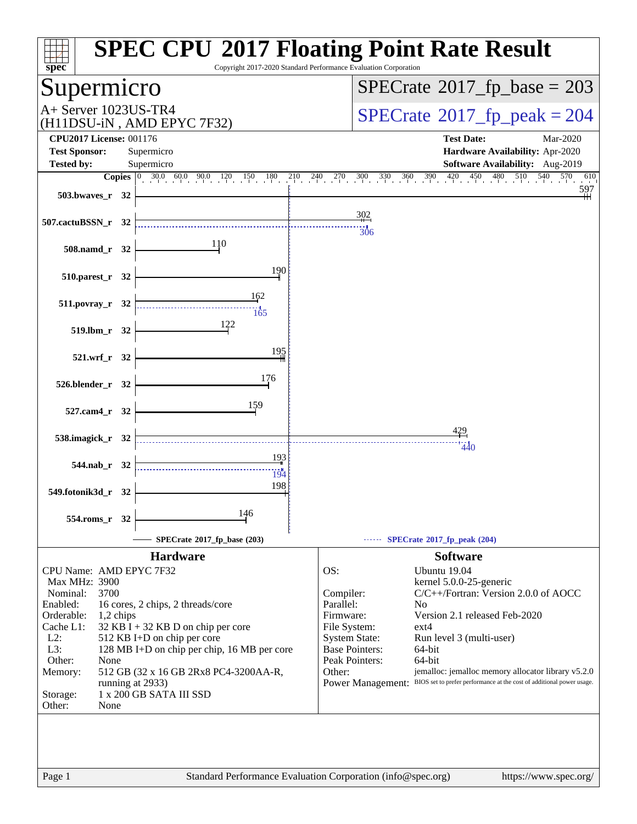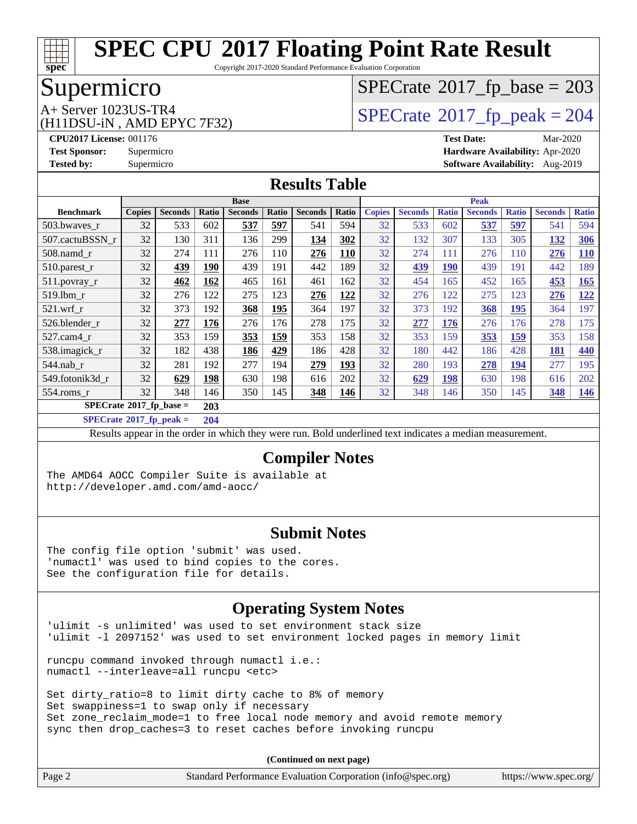

Copyright 2017-2020 Standard Performance Evaluation Corporation

## Supermicro

(H11DSU-iN , AMD EPYC 7F32)

# $SPECTate$ <sup>®</sup>[2017\\_fp\\_base =](http://www.spec.org/auto/cpu2017/Docs/result-fields.html#SPECrate2017fpbase) 203

A+ Server 1023US-TR4<br>
(H11DSU-iN AMD EPYC 7F32) [SPECrate](http://www.spec.org/auto/cpu2017/Docs/result-fields.html#SPECrate2017fppeak)®[2017\\_fp\\_peak = 2](http://www.spec.org/auto/cpu2017/Docs/result-fields.html#SPECrate2017fppeak)04

**[CPU2017 License:](http://www.spec.org/auto/cpu2017/Docs/result-fields.html#CPU2017License)** 001176 **[Test Date:](http://www.spec.org/auto/cpu2017/Docs/result-fields.html#TestDate)** Mar-2020 **[Test Sponsor:](http://www.spec.org/auto/cpu2017/Docs/result-fields.html#TestSponsor)** Supermicro **[Hardware Availability:](http://www.spec.org/auto/cpu2017/Docs/result-fields.html#HardwareAvailability)** Apr-2020 **[Tested by:](http://www.spec.org/auto/cpu2017/Docs/result-fields.html#Testedby)** Supermicro **[Software Availability:](http://www.spec.org/auto/cpu2017/Docs/result-fields.html#SoftwareAvailability)** Aug-2019

#### **[Results Table](http://www.spec.org/auto/cpu2017/Docs/result-fields.html#ResultsTable)**

|                                        | <b>Base</b>   |                |            |                |            | <b>Peak</b>    |       |               |                |              |                |              |                |              |
|----------------------------------------|---------------|----------------|------------|----------------|------------|----------------|-------|---------------|----------------|--------------|----------------|--------------|----------------|--------------|
| <b>Benchmark</b>                       | <b>Copies</b> | <b>Seconds</b> | Ratio      | <b>Seconds</b> | Ratio      | <b>Seconds</b> | Ratio | <b>Copies</b> | <b>Seconds</b> | <b>Ratio</b> | <b>Seconds</b> | <b>Ratio</b> | <b>Seconds</b> | <b>Ratio</b> |
| 503.bwayes r                           | 32            | 533            | 602        | 537            | 597        | 541            | 594   | 32            | 533            | 602          | 537            | 597          | 541            | 594          |
| 507.cactuBSSN r                        | 32            | 130            | 311        | 136            | 299        | 134            | 302   | 32            | 132            | 307          | 133            | 305          | 132            | 306          |
| $508$ .namd $r$                        | 32            | 274            | 111        | 276            | 110        | 276            | 110   | 32            | 274            | 111          | 276            | 110          | 276            | <b>110</b>   |
| 510.parest_r                           | 32            | 439            | <b>190</b> | 439            | 191        | 442            | 189   | 32            | 439            | <b>190</b>   | 439            | 191          | 442            | 189          |
| 511.povray_r                           | 32            | 462            | 162        | 465            | 161        | 461            | 162   | 32            | 454            | 165          | 452            | 165          | 453            | <b>165</b>   |
| 519.1bm r                              | 32            | 276            | 122        | 275            | 123        | 276            | 122   | 32            | 276            | 122          | 275            | 123          | 276            | <u> 122</u>  |
| $521$ .wrf r                           | 32            | 373            | 192        | 368            | 195        | 364            | 197   | 32            | 373            | 192          | 368            | <b>195</b>   | 364            | 197          |
| 526.blender_r                          | 32            | 277            | 176        | 276            | 176        | 278            | 175   | 32            | 277            | 176          | 276            | 176          | 278            | 175          |
| 527.cam4 r                             | 32            | 353            | 159        | 353            | <b>159</b> | 353            | 158   | 32            | 353            | 159          | 353            | <u>159</u>   | 353            | 158          |
| 538.imagick_r                          | 32            | 182            | 438        | 186            | 429        | 186            | 428   | 32            | 180            | 442          | 186            | 428          | <b>181</b>     | 440          |
| 544.nab r                              | 32            | 281            | 192        | 277            | 194        | 279            | 193   | 32            | 280            | 193          | 278            | 194          | 277            | 195          |
| 549.fotonik3d r                        | 32            | 629            | 198        | 630            | 198        | 616            | 202   | 32            | 629            | 198          | 630            | 198          | 616            | 202          |
| 554.roms r                             | 32            | 348            | 146        | 350            | 145        | 348            | 146   | 32            | 348            | 146          | 350            | 145          | 348            | <u>146</u>   |
| $SPECrate$ <sup>®</sup> 2017_fp_base = |               |                | 203        |                |            |                |       |               |                |              |                |              |                |              |

**[SPECrate](http://www.spec.org/auto/cpu2017/Docs/result-fields.html#SPECrate2017fppeak)[2017\\_fp\\_peak =](http://www.spec.org/auto/cpu2017/Docs/result-fields.html#SPECrate2017fppeak) 204**

Results appear in the [order in which they were run](http://www.spec.org/auto/cpu2017/Docs/result-fields.html#RunOrder). Bold underlined text [indicates a median measurement](http://www.spec.org/auto/cpu2017/Docs/result-fields.html#Median).

#### **[Compiler Notes](http://www.spec.org/auto/cpu2017/Docs/result-fields.html#CompilerNotes)**

The AMD64 AOCC Compiler Suite is available at <http://developer.amd.com/amd-aocc/>

#### **[Submit Notes](http://www.spec.org/auto/cpu2017/Docs/result-fields.html#SubmitNotes)**

The config file option 'submit' was used. 'numactl' was used to bind copies to the cores. See the configuration file for details.

#### **[Operating System Notes](http://www.spec.org/auto/cpu2017/Docs/result-fields.html#OperatingSystemNotes)**

'ulimit -s unlimited' was used to set environment stack size 'ulimit -l 2097152' was used to set environment locked pages in memory limit

runcpu command invoked through numactl i.e.: numactl --interleave=all runcpu <etc>

Set dirty\_ratio=8 to limit dirty cache to 8% of memory Set swappiness=1 to swap only if necessary Set zone\_reclaim\_mode=1 to free local node memory and avoid remote memory sync then drop\_caches=3 to reset caches before invoking runcpu

| Page 2 | Standard Performance Evaluation Corporation (info@spec.org) | https://www.spec.org/ |
|--------|-------------------------------------------------------------|-----------------------|
|        |                                                             |                       |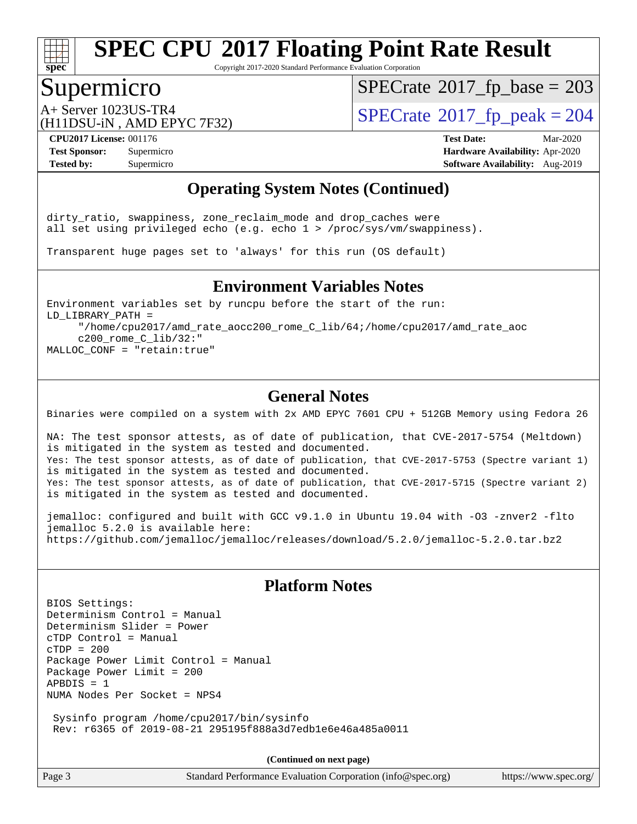

Copyright 2017-2020 Standard Performance Evaluation Corporation

### Supermicro

 $SPECTate$ <sup>®</sup>[2017\\_fp\\_base =](http://www.spec.org/auto/cpu2017/Docs/result-fields.html#SPECrate2017fpbase) 203

(H11DSU-iN , AMD EPYC 7F32)

 $A+$  Server 1023US-TR4<br>  $\langle H11DSU-N$  AMD EPYC 7E32)

**[CPU2017 License:](http://www.spec.org/auto/cpu2017/Docs/result-fields.html#CPU2017License)** 001176 **[Test Date:](http://www.spec.org/auto/cpu2017/Docs/result-fields.html#TestDate)** Mar-2020 **[Test Sponsor:](http://www.spec.org/auto/cpu2017/Docs/result-fields.html#TestSponsor)** Supermicro **[Hardware Availability:](http://www.spec.org/auto/cpu2017/Docs/result-fields.html#HardwareAvailability)** Apr-2020 **[Tested by:](http://www.spec.org/auto/cpu2017/Docs/result-fields.html#Testedby)** Supermicro **Supermicro [Software Availability:](http://www.spec.org/auto/cpu2017/Docs/result-fields.html#SoftwareAvailability)** Aug-2019

#### **[Operating System Notes \(Continued\)](http://www.spec.org/auto/cpu2017/Docs/result-fields.html#OperatingSystemNotes)**

dirty\_ratio, swappiness, zone\_reclaim\_mode and drop\_caches were all set using privileged echo (e.g. echo 1 > /proc/sys/vm/swappiness).

Transparent huge pages set to 'always' for this run (OS default)

#### **[Environment Variables Notes](http://www.spec.org/auto/cpu2017/Docs/result-fields.html#EnvironmentVariablesNotes)**

Environment variables set by runcpu before the start of the run: LD\_LIBRARY\_PATH = "/home/cpu2017/amd\_rate\_aocc200\_rome\_C\_lib/64;/home/cpu2017/amd\_rate\_aoc c200\_rome\_C\_lib/32:"

MALLOC\_CONF = "retain:true"

#### **[General Notes](http://www.spec.org/auto/cpu2017/Docs/result-fields.html#GeneralNotes)**

Binaries were compiled on a system with 2x AMD EPYC 7601 CPU + 512GB Memory using Fedora 26

NA: The test sponsor attests, as of date of publication, that CVE-2017-5754 (Meltdown) is mitigated in the system as tested and documented. Yes: The test sponsor attests, as of date of publication, that CVE-2017-5753 (Spectre variant 1) is mitigated in the system as tested and documented. Yes: The test sponsor attests, as of date of publication, that CVE-2017-5715 (Spectre variant 2) is mitigated in the system as tested and documented.

jemalloc: configured and built with GCC v9.1.0 in Ubuntu 19.04 with -O3 -znver2 -flto jemalloc 5.2.0 is available here: <https://github.com/jemalloc/jemalloc/releases/download/5.2.0/jemalloc-5.2.0.tar.bz2>

#### **[Platform Notes](http://www.spec.org/auto/cpu2017/Docs/result-fields.html#PlatformNotes)**

BIOS Settings: Determinism Control = Manual Determinism Slider = Power cTDP Control = Manual  $CTDP = 200$ Package Power Limit Control = Manual Package Power Limit = 200  $APBDIS = 1$ NUMA Nodes Per Socket = NPS4 Sysinfo program /home/cpu2017/bin/sysinfo

Rev: r6365 of 2019-08-21 295195f888a3d7edb1e6e46a485a0011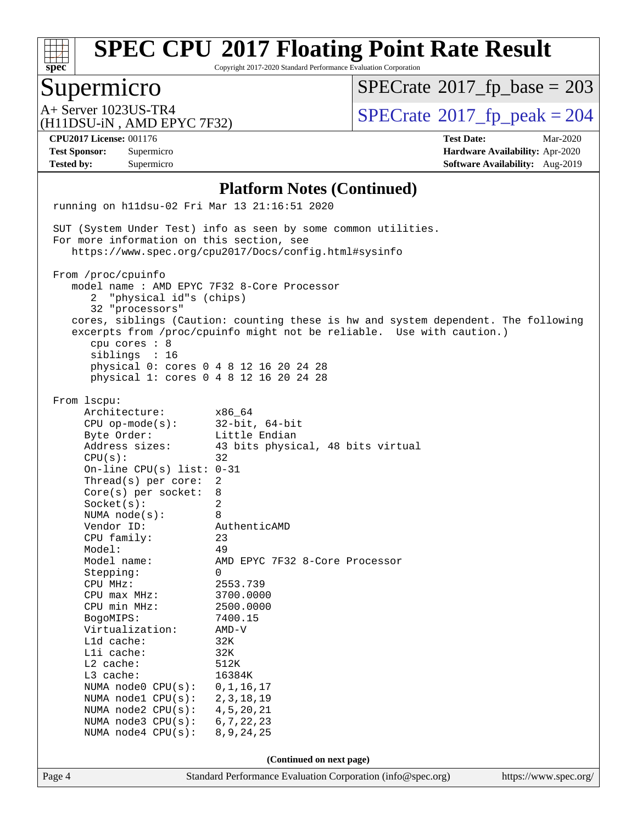

Copyright 2017-2020 Standard Performance Evaluation Corporation

### Supermicro

 $SPECTate$ <sup>®</sup>[2017\\_fp\\_base =](http://www.spec.org/auto/cpu2017/Docs/result-fields.html#SPECrate2017fpbase) 203

(H11DSU-iN , AMD EPYC 7F32)

 $A+$  Server 1023US-TR4<br>  $\langle H11DSU-N$  AMD EPYC 7E32)

**[Tested by:](http://www.spec.org/auto/cpu2017/Docs/result-fields.html#Testedby)** Supermicro **Supermicro [Software Availability:](http://www.spec.org/auto/cpu2017/Docs/result-fields.html#SoftwareAvailability)** Aug-2019

**[CPU2017 License:](http://www.spec.org/auto/cpu2017/Docs/result-fields.html#CPU2017License)** 001176 **[Test Date:](http://www.spec.org/auto/cpu2017/Docs/result-fields.html#TestDate)** Mar-2020 **[Test Sponsor:](http://www.spec.org/auto/cpu2017/Docs/result-fields.html#TestSponsor)** Supermicro **[Hardware Availability:](http://www.spec.org/auto/cpu2017/Docs/result-fields.html#HardwareAvailability)** Apr-2020

#### **[Platform Notes \(Continued\)](http://www.spec.org/auto/cpu2017/Docs/result-fields.html#PlatformNotes)**

Page 4 Standard Performance Evaluation Corporation [\(info@spec.org\)](mailto:info@spec.org) <https://www.spec.org/> running on h11dsu-02 Fri Mar 13 21:16:51 2020 SUT (System Under Test) info as seen by some common utilities. For more information on this section, see <https://www.spec.org/cpu2017/Docs/config.html#sysinfo> From /proc/cpuinfo model name : AMD EPYC 7F32 8-Core Processor 2 "physical id"s (chips) 32 "processors" cores, siblings (Caution: counting these is hw and system dependent. The following excerpts from /proc/cpuinfo might not be reliable. Use with caution.) cpu cores : 8 siblings : 16 physical 0: cores 0 4 8 12 16 20 24 28 physical 1: cores 0 4 8 12 16 20 24 28 From lscpu: Architecture: x86\_64 CPU op-mode(s): 32-bit, 64-bit Byte Order: Little Endian Address sizes: 43 bits physical, 48 bits virtual  $CPU(s):$  32 On-line CPU(s) list: 0-31 Thread(s) per core: 2 Core(s) per socket: 8 Socket(s): 2 NUMA node(s): 8 Vendor ID: AuthenticAMD CPU family: 23 Model: 49<br>Model name: 49 AMD EPYC 7F32 8-Core Processor Stepping: 0 CPU MHz: 2553.739 CPU max MHz: 3700.0000 CPU min MHz: 2500.0000 BogoMIPS: 7400.15 Virtualization: AMD-V L1d cache: 32K L1i cache: 32K L2 cache: 512K L3 cache: 16384K NUMA node0 CPU(s): 0,1,16,17 NUMA node1 CPU(s): 2,3,18,19 NUMA node2 CPU(s): 4,5,20,21 NUMA node3 CPU(s): 6,7,22,23 NUMA node4 CPU(s): 8,9,24,25 **(Continued on next page)**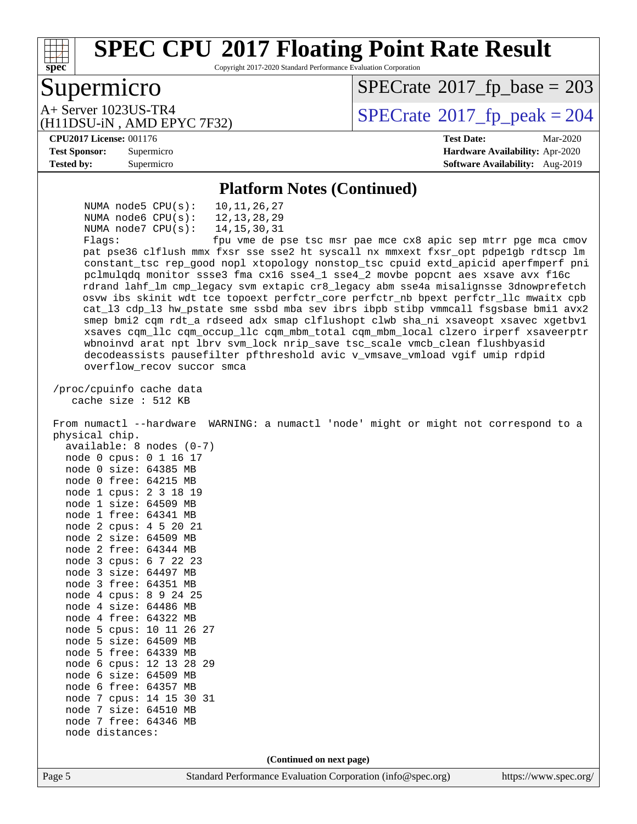

Copyright 2017-2020 Standard Performance Evaluation Corporation

## Supermicro

 $SPECTate$ <sup>®</sup>[2017\\_fp\\_base =](http://www.spec.org/auto/cpu2017/Docs/result-fields.html#SPECrate2017fpbase) 203

(H11DSU-iN , AMD EPYC 7F32)

 $A+$  Server 1023US-TR4<br>  $\langle H11DSU-N$  AMD EPYC 7E32)

#### **[CPU2017 License:](http://www.spec.org/auto/cpu2017/Docs/result-fields.html#CPU2017License)** 001176 **[Test Date:](http://www.spec.org/auto/cpu2017/Docs/result-fields.html#TestDate)** Mar-2020

**[Test Sponsor:](http://www.spec.org/auto/cpu2017/Docs/result-fields.html#TestSponsor)** Supermicro **[Hardware Availability:](http://www.spec.org/auto/cpu2017/Docs/result-fields.html#HardwareAvailability)** Apr-2020 **[Tested by:](http://www.spec.org/auto/cpu2017/Docs/result-fields.html#Testedby)** Supermicro **[Software Availability:](http://www.spec.org/auto/cpu2017/Docs/result-fields.html#SoftwareAvailability)** Aug-2019

#### **[Platform Notes \(Continued\)](http://www.spec.org/auto/cpu2017/Docs/result-fields.html#PlatformNotes)**

Page 5 Standard Performance Evaluation Corporation [\(info@spec.org\)](mailto:info@spec.org) <https://www.spec.org/> NUMA node5 CPU(s): 10,11,26,27 NUMA node6 CPU(s): 12,13,28,29 NUMA node7 CPU(s): 14,15,30,31 Flags: fpu vme de pse tsc msr pae mce cx8 apic sep mtrr pge mca cmov pat pse36 clflush mmx fxsr sse sse2 ht syscall nx mmxext fxsr\_opt pdpe1gb rdtscp lm constant\_tsc rep\_good nopl xtopology nonstop\_tsc cpuid extd\_apicid aperfmperf pni pclmulqdq monitor ssse3 fma cx16 sse4\_1 sse4\_2 movbe popcnt aes xsave avx f16c rdrand lahf\_lm cmp\_legacy svm extapic cr8\_legacy abm sse4a misalignsse 3dnowprefetch osvw ibs skinit wdt tce topoext perfctr\_core perfctr\_nb bpext perfctr\_llc mwaitx cpb cat\_l3 cdp\_l3 hw\_pstate sme ssbd mba sev ibrs ibpb stibp vmmcall fsgsbase bmi1 avx2 smep bmi2 cqm rdt\_a rdseed adx smap clflushopt clwb sha\_ni xsaveopt xsavec xgetbv1 xsaves cqm\_llc cqm\_occup\_llc cqm\_mbm\_total cqm\_mbm\_local clzero irperf xsaveerptr wbnoinvd arat npt lbrv svm\_lock nrip\_save tsc\_scale vmcb\_clean flushbyasid decodeassists pausefilter pfthreshold avic v\_vmsave\_vmload vgif umip rdpid overflow\_recov succor smca /proc/cpuinfo cache data cache size : 512 KB From numactl --hardware WARNING: a numactl 'node' might or might not correspond to a physical chip. available: 8 nodes (0-7) node 0 cpus: 0 1 16 17 node 0 size: 64385 MB node 0 free: 64215 MB node 1 cpus: 2 3 18 19 node 1 size: 64509 MB node 1 free: 64341 MB node 2 cpus: 4 5 20 21 node 2 size: 64509 MB node 2 free: 64344 MB node 3 cpus: 6 7 22 23 node 3 size: 64497 MB node 3 free: 64351 MB node 4 cpus: 8 9 24 25 node 4 size: 64486 MB node 4 free: 64322 MB node 5 cpus: 10 11 26 27 node 5 size: 64509 MB node 5 free: 64339 MB node 6 cpus: 12 13 28 29 node 6 size: 64509 MB node 6 free: 64357 MB node 7 cpus: 14 15 30 31 node 7 size: 64510 MB node 7 free: 64346 MB node distances: **(Continued on next page)**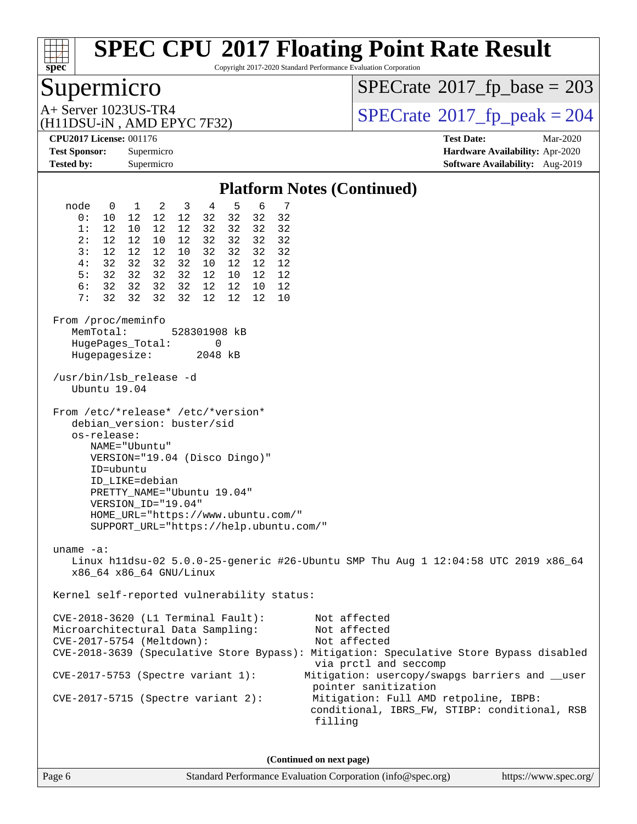

Copyright 2017-2020 Standard Performance Evaluation Corporation

## Supermicro

 $SPECTate$ <sup>®</sup>[2017\\_fp\\_base =](http://www.spec.org/auto/cpu2017/Docs/result-fields.html#SPECrate2017fpbase) 203

(H11DSU-iN , AMD EPYC 7F32)

 $A+$  Server 1023US-TR4<br>  $\langle H11DSU-N$  AMD EPYC 7E32)

**[CPU2017 License:](http://www.spec.org/auto/cpu2017/Docs/result-fields.html#CPU2017License)** 001176 **[Test Date:](http://www.spec.org/auto/cpu2017/Docs/result-fields.html#TestDate)** Mar-2020 **[Test Sponsor:](http://www.spec.org/auto/cpu2017/Docs/result-fields.html#TestSponsor)** Supermicro **[Hardware Availability:](http://www.spec.org/auto/cpu2017/Docs/result-fields.html#HardwareAvailability)** Apr-2020 **[Tested by:](http://www.spec.org/auto/cpu2017/Docs/result-fields.html#Testedby)** Supermicro **Supermicro [Software Availability:](http://www.spec.org/auto/cpu2017/Docs/result-fields.html#SoftwareAvailability)** Aug-2019

#### **[Platform Notes \(Continued\)](http://www.spec.org/auto/cpu2017/Docs/result-fields.html#PlatformNotes)** node 0 1 2 3 4 5 6 7 0: 10 12 12 12 32 32 32 32 1: 12 10 12 12 32 32 32 32 2: 12 12 10 12 32 32 32 32 3: 12 12 12 10 32 32 32 32 4: 32 32 32 32 10 12 12 12 5: 32 32 32 32 12 10 12 12 6: 32 32 32 32 12 12 10 12 7: 32 32 32 32 12 12 12 10 From /proc/meminfo MemTotal: 528301908 kB HugePages\_Total: 0 Hugepagesize: 2048 kB /usr/bin/lsb\_release -d Ubuntu 19.04 From /etc/\*release\* /etc/\*version\* debian\_version: buster/sid os-release: NAME="Ubuntu" VERSION="19.04 (Disco Dingo)" ID=ubuntu ID\_LIKE=debian PRETTY\_NAME="Ubuntu 19.04" VERSION\_ID="19.04" HOME\_URL="<https://www.ubuntu.com/"> SUPPORT\_URL="<https://help.ubuntu.com/"> uname -a: Linux h11dsu-02 5.0.0-25-generic #26-Ubuntu SMP Thu Aug 1 12:04:58 UTC 2019 x86\_64 x86\_64 x86\_64 GNU/Linux Kernel self-reported vulnerability status: CVE-2018-3620 (L1 Terminal Fault): Not affected Microarchitectural Data Sampling: Not affected CVE-2017-5754 (Meltdown): Not affected CVE-2018-3639 (Speculative Store Bypass): Mitigation: Speculative Store Bypass disabled via prctl and seccomp CVE-2017-5753 (Spectre variant 1): Mitigation: usercopy/swapgs barriers and \_\_user pointer sanitization CVE-2017-5715 (Spectre variant 2): Mitigation: Full AMD retpoline, IBPB: conditional, IBRS\_FW, STIBP: conditional, RSB filling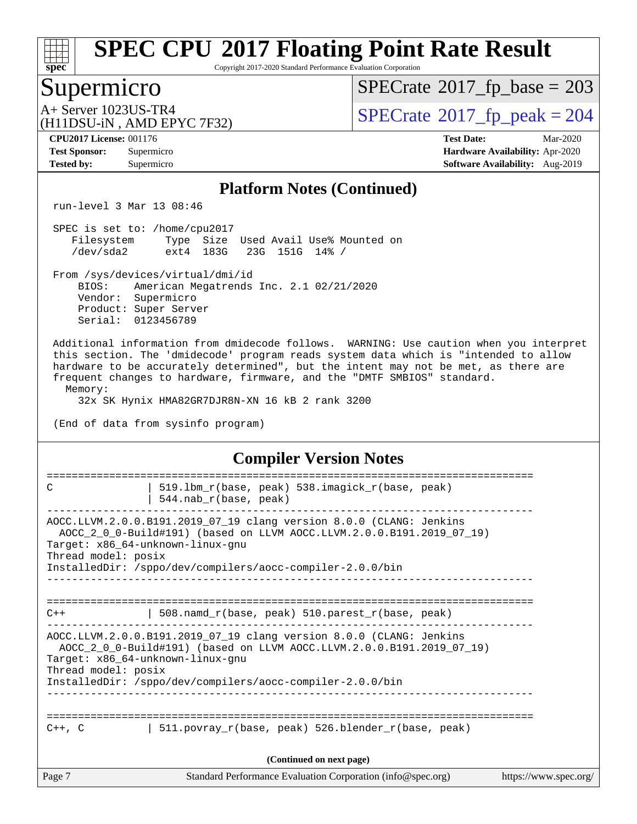

Copyright 2017-2020 Standard Performance Evaluation Corporation

## Supermicro

 $SPECTate$ <sup>®</sup>[2017\\_fp\\_base =](http://www.spec.org/auto/cpu2017/Docs/result-fields.html#SPECrate2017fpbase) 203

(H11DSU-iN , AMD EPYC 7F32)

 $A+$  Server 1023US-TR4<br>  $\langle H11DSU-N$  AMD EPYC 7F32)

**[Tested by:](http://www.spec.org/auto/cpu2017/Docs/result-fields.html#Testedby)** Supermicro **[Software Availability:](http://www.spec.org/auto/cpu2017/Docs/result-fields.html#SoftwareAvailability)** Aug-2019

**[CPU2017 License:](http://www.spec.org/auto/cpu2017/Docs/result-fields.html#CPU2017License)** 001176 **[Test Date:](http://www.spec.org/auto/cpu2017/Docs/result-fields.html#TestDate)** Mar-2020 **[Test Sponsor:](http://www.spec.org/auto/cpu2017/Docs/result-fields.html#TestSponsor)** Supermicro **[Hardware Availability:](http://www.spec.org/auto/cpu2017/Docs/result-fields.html#HardwareAvailability)** Apr-2020

#### **[Platform Notes \(Continued\)](http://www.spec.org/auto/cpu2017/Docs/result-fields.html#PlatformNotes)**

run-level 3 Mar 13 08:46

 SPEC is set to: /home/cpu2017 Filesystem Type Size Used Avail Use% Mounted on<br>
/dev/sda2 ext4 183G 23G 151G 14% / /dev/sda2 ext4 183G 23G 151G 14% /

From /sys/devices/virtual/dmi/id

 BIOS: American Megatrends Inc. 2.1 02/21/2020 Vendor: Supermicro Product: Super Server Serial: 0123456789

 Additional information from dmidecode follows. WARNING: Use caution when you interpret this section. The 'dmidecode' program reads system data which is "intended to allow hardware to be accurately determined", but the intent may not be met, as there are frequent changes to hardware, firmware, and the "DMTF SMBIOS" standard. Memory:

32x SK Hynix HMA82GR7DJR8N-XN 16 kB 2 rank 3200

(End of data from sysinfo program)

#### **[Compiler Version Notes](http://www.spec.org/auto/cpu2017/Docs/result-fields.html#CompilerVersionNotes)**

| Page 7              | Standard Performance Evaluation Corporation (info@spec.org)                                                                                                                                                                                   | https://www.spec.org/ |
|---------------------|-----------------------------------------------------------------------------------------------------------------------------------------------------------------------------------------------------------------------------------------------|-----------------------|
|                     | (Continued on next page)                                                                                                                                                                                                                      |                       |
| $C++$ , $C$         | 511.povray_r(base, peak) 526.blender_r(base, peak)                                                                                                                                                                                            |                       |
| Thread model: posix | AOCC.LLVM.2.0.0.B191.2019_07_19 clang version 8.0.0 (CLANG: Jenkins<br>AOCC_2_0_0-Build#191) (based on LLVM AOCC.LLVM.2.0.0.B191.2019_07_19)<br>Target: x86_64-unknown-linux-gnu<br>InstalledDir: /sppo/dev/compilers/aocc-compiler-2.0.0/bin |                       |
| $C++$               | 508.namd_r(base, peak) 510.parest_r(base, peak)                                                                                                                                                                                               |                       |
| Thread model: posix | AOCC.LLVM.2.0.0.B191.2019_07_19 clang version 8.0.0 (CLANG: Jenkins<br>AOCC_2_0_0-Build#191) (based on LLVM AOCC.LLVM.2.0.0.B191.2019_07_19)<br>Target: x86_64-unknown-linux-gnu<br>InstalledDir: /sppo/dev/compilers/aocc-compiler-2.0.0/bin |                       |
| C                   | 519.1bm_r(base, peak) 538.imagick_r(base, peak)<br>$544.nab_r(base, peak)$                                                                                                                                                                    |                       |
|                     |                                                                                                                                                                                                                                               |                       |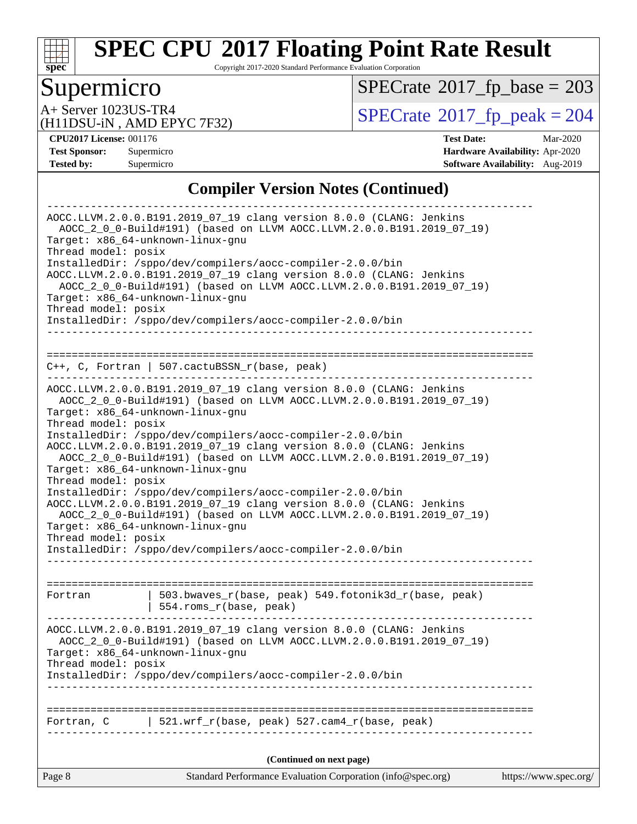

Copyright 2017-2020 Standard Performance Evaluation Corporation

## Supermicro

 $SPECTate$ <sup>®</sup>[2017\\_fp\\_base =](http://www.spec.org/auto/cpu2017/Docs/result-fields.html#SPECrate2017fpbase) 203

(H11DSU-iN , AMD EPYC 7F32)

A+ Server 1023US-TR4<br>
(H11DSU-iN AMD EPYC 7F32) [SPECrate](http://www.spec.org/auto/cpu2017/Docs/result-fields.html#SPECrate2017fppeak)®[2017\\_fp\\_peak = 2](http://www.spec.org/auto/cpu2017/Docs/result-fields.html#SPECrate2017fppeak)04

**[CPU2017 License:](http://www.spec.org/auto/cpu2017/Docs/result-fields.html#CPU2017License)** 001176 **[Test Date:](http://www.spec.org/auto/cpu2017/Docs/result-fields.html#TestDate)** Mar-2020 **[Test Sponsor:](http://www.spec.org/auto/cpu2017/Docs/result-fields.html#TestSponsor)** Supermicro **[Hardware Availability:](http://www.spec.org/auto/cpu2017/Docs/result-fields.html#HardwareAvailability)** Apr-2020 **[Tested by:](http://www.spec.org/auto/cpu2017/Docs/result-fields.html#Testedby)** Supermicro **Supermicro [Software Availability:](http://www.spec.org/auto/cpu2017/Docs/result-fields.html#SoftwareAvailability)** Aug-2019

#### **[Compiler Version Notes \(Continued\)](http://www.spec.org/auto/cpu2017/Docs/result-fields.html#CompilerVersionNotes)**

|                                                         | (Continued on next page)                                                                                                                     |  |
|---------------------------------------------------------|----------------------------------------------------------------------------------------------------------------------------------------------|--|
|                                                         |                                                                                                                                              |  |
| Fortran, C                                              | 521.wrf_r(base, peak) 527.cam4_r(base, peak)                                                                                                 |  |
|                                                         |                                                                                                                                              |  |
|                                                         |                                                                                                                                              |  |
| Thread model: posix                                     | InstalledDir: /sppo/dev/compilers/aocc-compiler-2.0.0/bin                                                                                    |  |
| Target: x86_64-unknown-linux-gnu                        |                                                                                                                                              |  |
|                                                         | AOCC.LLVM.2.0.0.B191.2019_07_19 clang version 8.0.0 (CLANG: Jenkins<br>AOCC_2_0_0-Build#191) (based on LLVM AOCC.LLVM.2.0.0.B191.2019_07_19) |  |
|                                                         |                                                                                                                                              |  |
| Fortran                                                 | 503.bwaves_r(base, peak) 549.fotonik3d_r(base, peak)<br>  554.roms_r(base, peak)                                                             |  |
|                                                         |                                                                                                                                              |  |
| Thread model: posix                                     | InstalledDir: /sppo/dev/compilers/aocc-compiler-2.0.0/bin                                                                                    |  |
| Target: x86_64-unknown-linux-gnu                        |                                                                                                                                              |  |
|                                                         | AOCC_2_0_0-Build#191) (based on LLVM AOCC.LLVM.2.0.0.B191.2019_07_19)                                                                        |  |
|                                                         | InstalledDir: /sppo/dev/compilers/aocc-compiler-2.0.0/bin<br>AOCC.LLVM.2.0.0.B191.2019_07_19 clang version 8.0.0 (CLANG: Jenkins             |  |
| Thread model: posix                                     |                                                                                                                                              |  |
| Target: x86 64-unknown-linux-gnu                        | AOCC_2_0_0-Build#191) (based on LLVM AOCC.LLVM.2.0.0.B191.2019_07_19)                                                                        |  |
|                                                         | AOCC.LLVM.2.0.0.B191.2019_07_19 clang version 8.0.0 (CLANG: Jenkins                                                                          |  |
| Thread model: posix                                     | InstalledDir: /sppo/dev/compilers/aocc-compiler-2.0.0/bin                                                                                    |  |
|                                                         | Target: x86_64-unknown-linux-gnu                                                                                                             |  |
|                                                         | AOCC.LLVM.2.0.0.B191.2019_07_19 clang version 8.0.0 (CLANG: Jenkins<br>AOCC_2_0_0-Build#191) (based on LLVM AOCC.LLVM.2.0.0.B191.2019_07_19) |  |
|                                                         |                                                                                                                                              |  |
|                                                         | $C++$ , C, Fortran   507.cactuBSSN_r(base, peak)                                                                                             |  |
|                                                         |                                                                                                                                              |  |
|                                                         | InstalledDir: /sppo/dev/compilers/aocc-compiler-2.0.0/bin                                                                                    |  |
| Thread model: posix                                     |                                                                                                                                              |  |
|                                                         | Target: x86_64-unknown-linux-gnu                                                                                                             |  |
|                                                         | AOCC.LLVM.2.0.0.B191.2019_07_19 clang version 8.0.0 (CLANG: Jenkins<br>AOCC_2_0_0-Build#191) (based on LLVM AOCC.LLVM.2.0.0.B191.2019_07_19) |  |
|                                                         | InstalledDir: /sppo/dev/compilers/aocc-compiler-2.0.0/bin                                                                                    |  |
| Target: x86_64-unknown-linux-gnu<br>Thread model: posix |                                                                                                                                              |  |
|                                                         | AOCC 2 0 0-Build#191) (based on LLVM AOCC.LLVM.2.0.0.B191.2019 07 19)                                                                        |  |
|                                                         |                                                                                                                                              |  |
|                                                         | AOCC.LLVM.2.0.0.B191.2019_07_19 clang version 8.0.0 (CLANG: Jenkins                                                                          |  |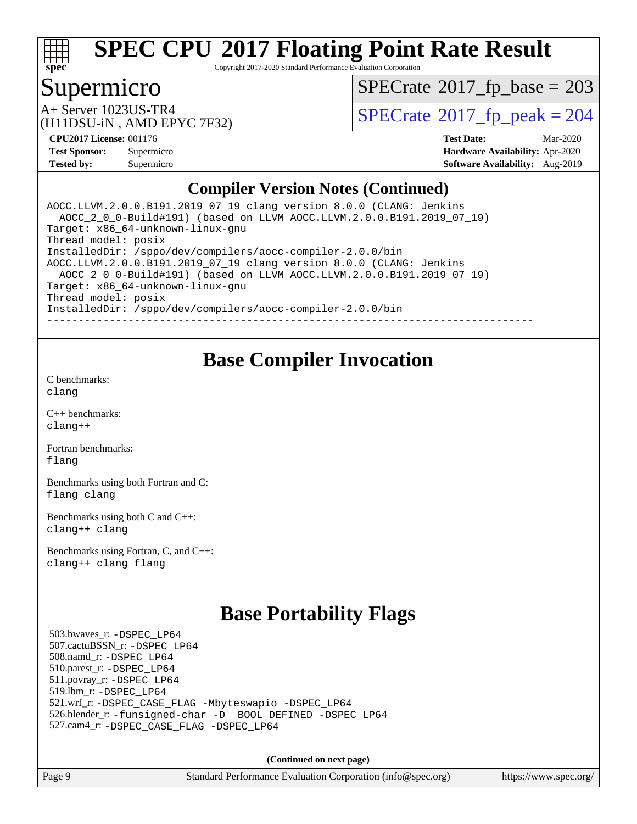

Copyright 2017-2020 Standard Performance Evaluation Corporation

## Supermicro

 $SPECTate$ <sup>®</sup>[2017\\_fp\\_base =](http://www.spec.org/auto/cpu2017/Docs/result-fields.html#SPECrate2017fpbase) 203

(H11DSU-iN , AMD EPYC 7F32)

 $A+$  Server 1023US-TR4<br>  $\langle H11DSU-N$  AMD EPYC 7E32)

**[CPU2017 License:](http://www.spec.org/auto/cpu2017/Docs/result-fields.html#CPU2017License)** 001176 **[Test Date:](http://www.spec.org/auto/cpu2017/Docs/result-fields.html#TestDate)** Mar-2020 **[Test Sponsor:](http://www.spec.org/auto/cpu2017/Docs/result-fields.html#TestSponsor)** Supermicro **[Hardware Availability:](http://www.spec.org/auto/cpu2017/Docs/result-fields.html#HardwareAvailability)** Apr-2020 **[Tested by:](http://www.spec.org/auto/cpu2017/Docs/result-fields.html#Testedby)** Supermicro **Supermicro [Software Availability:](http://www.spec.org/auto/cpu2017/Docs/result-fields.html#SoftwareAvailability)** Aug-2019

#### **[Compiler Version Notes \(Continued\)](http://www.spec.org/auto/cpu2017/Docs/result-fields.html#CompilerVersionNotes)**

AOCC.LLVM.2.0.0.B191.2019\_07\_19 clang version 8.0.0 (CLANG: Jenkins AOCC\_2\_0\_0-Build#191) (based on LLVM AOCC.LLVM.2.0.0.B191.2019\_07\_19) Target: x86\_64-unknown-linux-gnu Thread model: posix InstalledDir: /sppo/dev/compilers/aocc-compiler-2.0.0/bin AOCC.LLVM.2.0.0.B191.2019\_07\_19 clang version 8.0.0 (CLANG: Jenkins AOCC\_2\_0\_0-Build#191) (based on LLVM AOCC.LLVM.2.0.0.B191.2019\_07\_19) Target: x86\_64-unknown-linux-gnu Thread model: posix InstalledDir: /sppo/dev/compilers/aocc-compiler-2.0.0/bin ------------------------------------------------------------------------------

## **[Base Compiler Invocation](http://www.spec.org/auto/cpu2017/Docs/result-fields.html#BaseCompilerInvocation)**

[C benchmarks](http://www.spec.org/auto/cpu2017/Docs/result-fields.html#Cbenchmarks): [clang](http://www.spec.org/cpu2017/results/res2020q2/cpu2017-20200331-21848.flags.html#user_CCbase_clang-c)

[C++ benchmarks:](http://www.spec.org/auto/cpu2017/Docs/result-fields.html#CXXbenchmarks) [clang++](http://www.spec.org/cpu2017/results/res2020q2/cpu2017-20200331-21848.flags.html#user_CXXbase_clang-cpp)

[Fortran benchmarks](http://www.spec.org/auto/cpu2017/Docs/result-fields.html#Fortranbenchmarks): [flang](http://www.spec.org/cpu2017/results/res2020q2/cpu2017-20200331-21848.flags.html#user_FCbase_flang)

[Benchmarks using both Fortran and C](http://www.spec.org/auto/cpu2017/Docs/result-fields.html#BenchmarksusingbothFortranandC): [flang](http://www.spec.org/cpu2017/results/res2020q2/cpu2017-20200331-21848.flags.html#user_CC_FCbase_flang) [clang](http://www.spec.org/cpu2017/results/res2020q2/cpu2017-20200331-21848.flags.html#user_CC_FCbase_clang-c)

[Benchmarks using both C and C++](http://www.spec.org/auto/cpu2017/Docs/result-fields.html#BenchmarksusingbothCandCXX): [clang++](http://www.spec.org/cpu2017/results/res2020q2/cpu2017-20200331-21848.flags.html#user_CC_CXXbase_clang-cpp) [clang](http://www.spec.org/cpu2017/results/res2020q2/cpu2017-20200331-21848.flags.html#user_CC_CXXbase_clang-c)

[Benchmarks using Fortran, C, and C++:](http://www.spec.org/auto/cpu2017/Docs/result-fields.html#BenchmarksusingFortranCandCXX) [clang++](http://www.spec.org/cpu2017/results/res2020q2/cpu2017-20200331-21848.flags.html#user_CC_CXX_FCbase_clang-cpp) [clang](http://www.spec.org/cpu2017/results/res2020q2/cpu2017-20200331-21848.flags.html#user_CC_CXX_FCbase_clang-c) [flang](http://www.spec.org/cpu2017/results/res2020q2/cpu2017-20200331-21848.flags.html#user_CC_CXX_FCbase_flang)

## **[Base Portability Flags](http://www.spec.org/auto/cpu2017/Docs/result-fields.html#BasePortabilityFlags)**

 503.bwaves\_r: [-DSPEC\\_LP64](http://www.spec.org/cpu2017/results/res2020q2/cpu2017-20200331-21848.flags.html#suite_baseEXTRA_PORTABILITY503_bwaves_r_DSPEC_LP64) 507.cactuBSSN\_r: [-DSPEC\\_LP64](http://www.spec.org/cpu2017/results/res2020q2/cpu2017-20200331-21848.flags.html#suite_baseEXTRA_PORTABILITY507_cactuBSSN_r_DSPEC_LP64) 508.namd\_r: [-DSPEC\\_LP64](http://www.spec.org/cpu2017/results/res2020q2/cpu2017-20200331-21848.flags.html#suite_baseEXTRA_PORTABILITY508_namd_r_DSPEC_LP64) 510.parest\_r: [-DSPEC\\_LP64](http://www.spec.org/cpu2017/results/res2020q2/cpu2017-20200331-21848.flags.html#suite_baseEXTRA_PORTABILITY510_parest_r_DSPEC_LP64) 511.povray\_r: [-DSPEC\\_LP64](http://www.spec.org/cpu2017/results/res2020q2/cpu2017-20200331-21848.flags.html#suite_baseEXTRA_PORTABILITY511_povray_r_DSPEC_LP64) 519.lbm\_r: [-DSPEC\\_LP64](http://www.spec.org/cpu2017/results/res2020q2/cpu2017-20200331-21848.flags.html#suite_baseEXTRA_PORTABILITY519_lbm_r_DSPEC_LP64) 521.wrf\_r: [-DSPEC\\_CASE\\_FLAG](http://www.spec.org/cpu2017/results/res2020q2/cpu2017-20200331-21848.flags.html#b521.wrf_r_baseCPORTABILITY_DSPEC_CASE_FLAG) [-Mbyteswapio](http://www.spec.org/cpu2017/results/res2020q2/cpu2017-20200331-21848.flags.html#user_baseFPORTABILITY521_wrf_r_F-mbyteswapio_543c39ce38db59bcbc3b888917ef58c313007ae1c27520b689e012995ae261114051d1d5efcb4182d175ce22a6a15532d3a9999882dd2c360e6d853f41da6883) [-DSPEC\\_LP64](http://www.spec.org/cpu2017/results/res2020q2/cpu2017-20200331-21848.flags.html#suite_baseEXTRA_PORTABILITY521_wrf_r_DSPEC_LP64) 526.blender\_r: [-funsigned-char](http://www.spec.org/cpu2017/results/res2020q2/cpu2017-20200331-21848.flags.html#user_baseCPORTABILITY526_blender_r_aocc-unsigned-char) [-D\\_\\_BOOL\\_DEFINED](http://www.spec.org/cpu2017/results/res2020q2/cpu2017-20200331-21848.flags.html#b526.blender_r_baseCXXPORTABILITY_D__BOOL_DEFINED) [-DSPEC\\_LP64](http://www.spec.org/cpu2017/results/res2020q2/cpu2017-20200331-21848.flags.html#suite_baseEXTRA_PORTABILITY526_blender_r_DSPEC_LP64) 527.cam4\_r: [-DSPEC\\_CASE\\_FLAG](http://www.spec.org/cpu2017/results/res2020q2/cpu2017-20200331-21848.flags.html#b527.cam4_r_basePORTABILITY_DSPEC_CASE_FLAG) [-DSPEC\\_LP64](http://www.spec.org/cpu2017/results/res2020q2/cpu2017-20200331-21848.flags.html#suite_baseEXTRA_PORTABILITY527_cam4_r_DSPEC_LP64)

**(Continued on next page)**

Page 9 Standard Performance Evaluation Corporation [\(info@spec.org\)](mailto:info@spec.org) <https://www.spec.org/>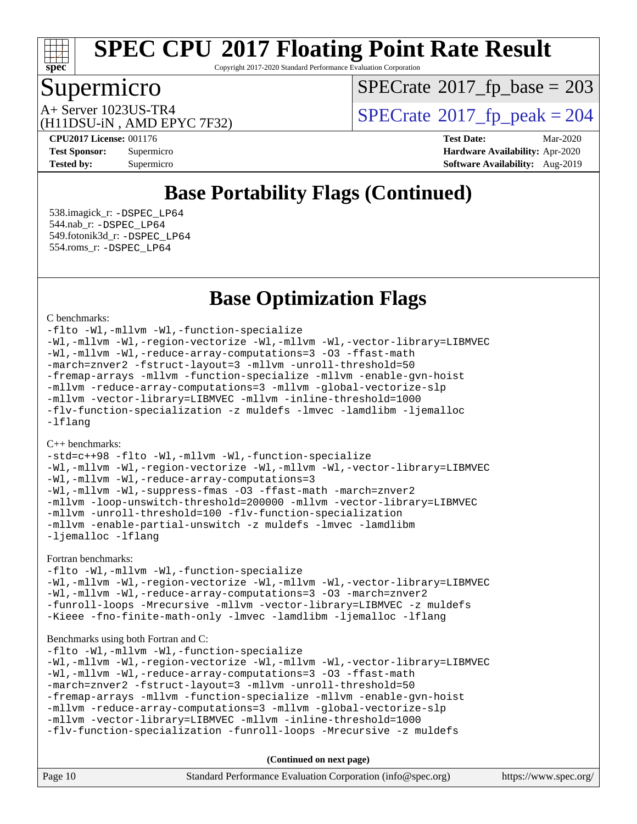

Copyright 2017-2020 Standard Performance Evaluation Corporation

## Supermicro

 $SPECTate$ <sup>®</sup>[2017\\_fp\\_base =](http://www.spec.org/auto/cpu2017/Docs/result-fields.html#SPECrate2017fpbase) 203

(H11DSU-iN , AMD EPYC 7F32)

 $A+$  Server 1023US-TR4<br>  $\langle H11DSU-N$  AMD EPYC 7E32)

**[CPU2017 License:](http://www.spec.org/auto/cpu2017/Docs/result-fields.html#CPU2017License)** 001176 **[Test Date:](http://www.spec.org/auto/cpu2017/Docs/result-fields.html#TestDate)** Mar-2020 **[Test Sponsor:](http://www.spec.org/auto/cpu2017/Docs/result-fields.html#TestSponsor)** Supermicro **[Hardware Availability:](http://www.spec.org/auto/cpu2017/Docs/result-fields.html#HardwareAvailability)** Apr-2020 **[Tested by:](http://www.spec.org/auto/cpu2017/Docs/result-fields.html#Testedby)** Supermicro **Supermicro [Software Availability:](http://www.spec.org/auto/cpu2017/Docs/result-fields.html#SoftwareAvailability)** Aug-2019

## **[Base Portability Flags \(Continued\)](http://www.spec.org/auto/cpu2017/Docs/result-fields.html#BasePortabilityFlags)**

 538.imagick\_r: [-DSPEC\\_LP64](http://www.spec.org/cpu2017/results/res2020q2/cpu2017-20200331-21848.flags.html#suite_baseEXTRA_PORTABILITY538_imagick_r_DSPEC_LP64) 544.nab\_r: [-DSPEC\\_LP64](http://www.spec.org/cpu2017/results/res2020q2/cpu2017-20200331-21848.flags.html#suite_baseEXTRA_PORTABILITY544_nab_r_DSPEC_LP64) 549.fotonik3d\_r: [-DSPEC\\_LP64](http://www.spec.org/cpu2017/results/res2020q2/cpu2017-20200331-21848.flags.html#suite_baseEXTRA_PORTABILITY549_fotonik3d_r_DSPEC_LP64) 554.roms\_r: [-DSPEC\\_LP64](http://www.spec.org/cpu2017/results/res2020q2/cpu2017-20200331-21848.flags.html#suite_baseEXTRA_PORTABILITY554_roms_r_DSPEC_LP64)

### **[Base Optimization Flags](http://www.spec.org/auto/cpu2017/Docs/result-fields.html#BaseOptimizationFlags)**

#### [C benchmarks](http://www.spec.org/auto/cpu2017/Docs/result-fields.html#Cbenchmarks):

[-flto](http://www.spec.org/cpu2017/results/res2020q2/cpu2017-20200331-21848.flags.html#user_CCbase_aocc-flto) [-Wl,-mllvm -Wl,-function-specialize](http://www.spec.org/cpu2017/results/res2020q2/cpu2017-20200331-21848.flags.html#user_CCbase_F-function-specialize_7e7e661e57922243ee67c9a1251cb8910e607325179a0ce7f2884e09a6f5d4a5ef0ae4f37e8a2a11c95fc48e931f06dc2b6016f14b511fcb441e048bef1b065a) [-Wl,-mllvm -Wl,-region-vectorize](http://www.spec.org/cpu2017/results/res2020q2/cpu2017-20200331-21848.flags.html#user_CCbase_F-region-vectorize_fb6c6b5aa293c88efc6c7c2b52b20755e943585b1fe8658c35afef78727fff56e1a56891413c30e36b8e2a6f9a71126986319243e80eb6110b78b288f533c52b) [-Wl,-mllvm -Wl,-vector-library=LIBMVEC](http://www.spec.org/cpu2017/results/res2020q2/cpu2017-20200331-21848.flags.html#user_CCbase_F-use-vector-library_0a14b27fae317f283640384a31f7bfcc2bd4c1d0b5cfc618a3a430800c9b20217b00f61303eff223a3251b4f06ffbc9739dc5296db9d1fbb9ad24a3939d86d66) [-Wl,-mllvm -Wl,-reduce-array-computations=3](http://www.spec.org/cpu2017/results/res2020q2/cpu2017-20200331-21848.flags.html#user_CCbase_F-reduce-array-computations_b882aefe7a5dda4e33149f6299762b9a720dace3e498e13756f4c04e5a19edf5315c1f3993de2e61ec41e8c206231f84e05da7040e1bb5d69ba27d10a12507e4) [-O3](http://www.spec.org/cpu2017/results/res2020q2/cpu2017-20200331-21848.flags.html#user_CCbase_F-O3) [-ffast-math](http://www.spec.org/cpu2017/results/res2020q2/cpu2017-20200331-21848.flags.html#user_CCbase_aocc-ffast-math) [-march=znver2](http://www.spec.org/cpu2017/results/res2020q2/cpu2017-20200331-21848.flags.html#user_CCbase_aocc-march_3e2e19cff2eeef60c5d90b059483627c9ea47eca6d66670dbd53f9185f6439e27eb5e104cf773e9e8ab18c8842ce63e461a3e948d0214bd567ef3ade411bf467) [-fstruct-layout=3](http://www.spec.org/cpu2017/results/res2020q2/cpu2017-20200331-21848.flags.html#user_CCbase_F-struct-layout) [-mllvm -unroll-threshold=50](http://www.spec.org/cpu2017/results/res2020q2/cpu2017-20200331-21848.flags.html#user_CCbase_F-unroll-threshold_458874500b2c105d6d5cb4d7a611c40e2b16e9e3d26b355fea72d644c3673b4de4b3932662f0ed3dbec75c491a13da2d2ca81180bd779dc531083ef1e1e549dc) [-fremap-arrays](http://www.spec.org/cpu2017/results/res2020q2/cpu2017-20200331-21848.flags.html#user_CCbase_F-fremap-arrays) [-mllvm -function-specialize](http://www.spec.org/cpu2017/results/res2020q2/cpu2017-20200331-21848.flags.html#user_CCbase_F-function-specialize_233b3bdba86027f1b094368157e481c5bc59f40286dc25bfadc1858dcd5745c24fd30d5f188710db7fea399bcc9f44a80b3ce3aacc70a8870250c3ae5e1f35b8) [-mllvm -enable-gvn-hoist](http://www.spec.org/cpu2017/results/res2020q2/cpu2017-20200331-21848.flags.html#user_CCbase_F-enable-gvn-hoist_e5856354646dd6ca1333a0ad99b817e4cf8932b91b82809fd8fd47ceff7b22a89eba5c98fd3e3fa5200368fd772cec3dd56abc3c8f7b655a71b9f9848dddedd5) [-mllvm -reduce-array-computations=3](http://www.spec.org/cpu2017/results/res2020q2/cpu2017-20200331-21848.flags.html#user_CCbase_F-reduce-array-computations_aceadb8604558b566e0e3a0d7a3c1533923dd1fa0889614e16288028922629a28d5695c24d3b3be4306b1e311c54317dfffe3a2e57fbcaabc737a1798de39145) [-mllvm -global-vectorize-slp](http://www.spec.org/cpu2017/results/res2020q2/cpu2017-20200331-21848.flags.html#user_CCbase_F-global-vectorize-slp_a3935e8627af4ced727033b1ffd4db27f4d541a363d28d82bf4c2925fb3a0fd4115d6e42d13a2829f9e024d6608eb67a85cb49770f2da5c5ac8dbc737afad603) [-mllvm -vector-library=LIBMVEC](http://www.spec.org/cpu2017/results/res2020q2/cpu2017-20200331-21848.flags.html#user_CCbase_F-use-vector-library_e584e20b4f7ec96aa109254b65d8e01d864f3d68580371b9d93ed7c338191d4cfce20c3c864632264effc6bbe4c7c38153d02096a342ee92501c4a53204a7871) [-mllvm -inline-threshold=1000](http://www.spec.org/cpu2017/results/res2020q2/cpu2017-20200331-21848.flags.html#user_CCbase_dragonegg-llvm-inline-threshold_b7832241b0a6397e4ecdbaf0eb7defdc10f885c2a282fa3240fdc99844d543fda39cf8a4a9dccf68cf19b5438ac3b455264f478df15da0f4988afa40d8243bab) [-flv-function-specialization](http://www.spec.org/cpu2017/results/res2020q2/cpu2017-20200331-21848.flags.html#user_CCbase_F-flv-function-specialization) [-z muldefs](http://www.spec.org/cpu2017/results/res2020q2/cpu2017-20200331-21848.flags.html#user_CCbase_aocc-muldefs) [-lmvec](http://www.spec.org/cpu2017/results/res2020q2/cpu2017-20200331-21848.flags.html#user_CCbase_F-lmvec) [-lamdlibm](http://www.spec.org/cpu2017/results/res2020q2/cpu2017-20200331-21848.flags.html#user_CCbase_F-lamdlibm) [-ljemalloc](http://www.spec.org/cpu2017/results/res2020q2/cpu2017-20200331-21848.flags.html#user_CCbase_jemalloc-lib) [-lflang](http://www.spec.org/cpu2017/results/res2020q2/cpu2017-20200331-21848.flags.html#user_CCbase_F-lflang)

#### [C++ benchmarks:](http://www.spec.org/auto/cpu2017/Docs/result-fields.html#CXXbenchmarks)

[-std=c++98](http://www.spec.org/cpu2017/results/res2020q2/cpu2017-20200331-21848.flags.html#user_CXXbase_std-cpp) [-flto](http://www.spec.org/cpu2017/results/res2020q2/cpu2017-20200331-21848.flags.html#user_CXXbase_aocc-flto) [-Wl,-mllvm -Wl,-function-specialize](http://www.spec.org/cpu2017/results/res2020q2/cpu2017-20200331-21848.flags.html#user_CXXbase_F-function-specialize_7e7e661e57922243ee67c9a1251cb8910e607325179a0ce7f2884e09a6f5d4a5ef0ae4f37e8a2a11c95fc48e931f06dc2b6016f14b511fcb441e048bef1b065a) [-Wl,-mllvm -Wl,-region-vectorize](http://www.spec.org/cpu2017/results/res2020q2/cpu2017-20200331-21848.flags.html#user_CXXbase_F-region-vectorize_fb6c6b5aa293c88efc6c7c2b52b20755e943585b1fe8658c35afef78727fff56e1a56891413c30e36b8e2a6f9a71126986319243e80eb6110b78b288f533c52b) [-Wl,-mllvm -Wl,-vector-library=LIBMVEC](http://www.spec.org/cpu2017/results/res2020q2/cpu2017-20200331-21848.flags.html#user_CXXbase_F-use-vector-library_0a14b27fae317f283640384a31f7bfcc2bd4c1d0b5cfc618a3a430800c9b20217b00f61303eff223a3251b4f06ffbc9739dc5296db9d1fbb9ad24a3939d86d66) [-Wl,-mllvm -Wl,-reduce-array-computations=3](http://www.spec.org/cpu2017/results/res2020q2/cpu2017-20200331-21848.flags.html#user_CXXbase_F-reduce-array-computations_b882aefe7a5dda4e33149f6299762b9a720dace3e498e13756f4c04e5a19edf5315c1f3993de2e61ec41e8c206231f84e05da7040e1bb5d69ba27d10a12507e4) [-Wl,-mllvm -Wl,-suppress-fmas](http://www.spec.org/cpu2017/results/res2020q2/cpu2017-20200331-21848.flags.html#user_CXXbase_F-suppress-fmas_f00f00630e4a059e8af9c161e9bbf420bcf19890a7f99d5933525e66aa4b0bb3ab2339d2b12d97d3a5f5d271e839fe9c109938e91fe06230fb53651590cfa1e8) [-O3](http://www.spec.org/cpu2017/results/res2020q2/cpu2017-20200331-21848.flags.html#user_CXXbase_F-O3) [-ffast-math](http://www.spec.org/cpu2017/results/res2020q2/cpu2017-20200331-21848.flags.html#user_CXXbase_aocc-ffast-math) [-march=znver2](http://www.spec.org/cpu2017/results/res2020q2/cpu2017-20200331-21848.flags.html#user_CXXbase_aocc-march_3e2e19cff2eeef60c5d90b059483627c9ea47eca6d66670dbd53f9185f6439e27eb5e104cf773e9e8ab18c8842ce63e461a3e948d0214bd567ef3ade411bf467) [-mllvm -loop-unswitch-threshold=200000](http://www.spec.org/cpu2017/results/res2020q2/cpu2017-20200331-21848.flags.html#user_CXXbase_F-loop-unswitch-threshold_f9a82ae3270e55b5fbf79d0d96ee93606b73edbbe527d20b18b7bff1a3a146ad50cfc7454c5297978340ae9213029016a7d16221274d672d3f7f42ed25274e1d) [-mllvm -vector-library=LIBMVEC](http://www.spec.org/cpu2017/results/res2020q2/cpu2017-20200331-21848.flags.html#user_CXXbase_F-use-vector-library_e584e20b4f7ec96aa109254b65d8e01d864f3d68580371b9d93ed7c338191d4cfce20c3c864632264effc6bbe4c7c38153d02096a342ee92501c4a53204a7871) [-mllvm -unroll-threshold=100](http://www.spec.org/cpu2017/results/res2020q2/cpu2017-20200331-21848.flags.html#user_CXXbase_F-unroll-threshold_2755d0c78138845d361fa1543e3a063fffa198df9b3edf0cfb856bbc88a81e1769b12ac7a550c5d35197be55360db1a3f95a8d1304df999456cabf5120c45168) [-flv-function-specialization](http://www.spec.org/cpu2017/results/res2020q2/cpu2017-20200331-21848.flags.html#user_CXXbase_F-flv-function-specialization) [-mllvm -enable-partial-unswitch](http://www.spec.org/cpu2017/results/res2020q2/cpu2017-20200331-21848.flags.html#user_CXXbase_F-enable-partial-unswitch_6e1c33f981d77963b1eaf834973128a7f33ce3f8e27f54689656697a35e89dcc875281e0e6283d043e32f367dcb605ba0e307a92e830f7e326789fa6c61b35d3) [-z muldefs](http://www.spec.org/cpu2017/results/res2020q2/cpu2017-20200331-21848.flags.html#user_CXXbase_aocc-muldefs) [-lmvec](http://www.spec.org/cpu2017/results/res2020q2/cpu2017-20200331-21848.flags.html#user_CXXbase_F-lmvec) [-lamdlibm](http://www.spec.org/cpu2017/results/res2020q2/cpu2017-20200331-21848.flags.html#user_CXXbase_F-lamdlibm) [-ljemalloc](http://www.spec.org/cpu2017/results/res2020q2/cpu2017-20200331-21848.flags.html#user_CXXbase_jemalloc-lib) [-lflang](http://www.spec.org/cpu2017/results/res2020q2/cpu2017-20200331-21848.flags.html#user_CXXbase_F-lflang)

#### [Fortran benchmarks](http://www.spec.org/auto/cpu2017/Docs/result-fields.html#Fortranbenchmarks):

[-flto](http://www.spec.org/cpu2017/results/res2020q2/cpu2017-20200331-21848.flags.html#user_FCbase_aocc-flto) [-Wl,-mllvm -Wl,-function-specialize](http://www.spec.org/cpu2017/results/res2020q2/cpu2017-20200331-21848.flags.html#user_FCbase_F-function-specialize_7e7e661e57922243ee67c9a1251cb8910e607325179a0ce7f2884e09a6f5d4a5ef0ae4f37e8a2a11c95fc48e931f06dc2b6016f14b511fcb441e048bef1b065a) [-Wl,-mllvm -Wl,-region-vectorize](http://www.spec.org/cpu2017/results/res2020q2/cpu2017-20200331-21848.flags.html#user_FCbase_F-region-vectorize_fb6c6b5aa293c88efc6c7c2b52b20755e943585b1fe8658c35afef78727fff56e1a56891413c30e36b8e2a6f9a71126986319243e80eb6110b78b288f533c52b) [-Wl,-mllvm -Wl,-vector-library=LIBMVEC](http://www.spec.org/cpu2017/results/res2020q2/cpu2017-20200331-21848.flags.html#user_FCbase_F-use-vector-library_0a14b27fae317f283640384a31f7bfcc2bd4c1d0b5cfc618a3a430800c9b20217b00f61303eff223a3251b4f06ffbc9739dc5296db9d1fbb9ad24a3939d86d66) [-Wl,-mllvm -Wl,-reduce-array-computations=3](http://www.spec.org/cpu2017/results/res2020q2/cpu2017-20200331-21848.flags.html#user_FCbase_F-reduce-array-computations_b882aefe7a5dda4e33149f6299762b9a720dace3e498e13756f4c04e5a19edf5315c1f3993de2e61ec41e8c206231f84e05da7040e1bb5d69ba27d10a12507e4) [-O3](http://www.spec.org/cpu2017/results/res2020q2/cpu2017-20200331-21848.flags.html#user_FCbase_F-O3) [-march=znver2](http://www.spec.org/cpu2017/results/res2020q2/cpu2017-20200331-21848.flags.html#user_FCbase_aocc-march_3e2e19cff2eeef60c5d90b059483627c9ea47eca6d66670dbd53f9185f6439e27eb5e104cf773e9e8ab18c8842ce63e461a3e948d0214bd567ef3ade411bf467) [-funroll-loops](http://www.spec.org/cpu2017/results/res2020q2/cpu2017-20200331-21848.flags.html#user_FCbase_aocc-unroll-loops) [-Mrecursive](http://www.spec.org/cpu2017/results/res2020q2/cpu2017-20200331-21848.flags.html#user_FCbase_F-mrecursive_20a145d63f12d5750a899e17d4450b5b8b40330a9bb4af13688ca650e6fb30857bbbe44fb35cdbb895df6e5b2769de0a0d7659f51ff17acfbef6febafec4023f) [-mllvm -vector-library=LIBMVEC](http://www.spec.org/cpu2017/results/res2020q2/cpu2017-20200331-21848.flags.html#user_FCbase_F-use-vector-library_e584e20b4f7ec96aa109254b65d8e01d864f3d68580371b9d93ed7c338191d4cfce20c3c864632264effc6bbe4c7c38153d02096a342ee92501c4a53204a7871) [-z muldefs](http://www.spec.org/cpu2017/results/res2020q2/cpu2017-20200331-21848.flags.html#user_FCbase_aocc-muldefs) [-Kieee](http://www.spec.org/cpu2017/results/res2020q2/cpu2017-20200331-21848.flags.html#user_FCbase_F-kieee) [-fno-finite-math-only](http://www.spec.org/cpu2017/results/res2020q2/cpu2017-20200331-21848.flags.html#user_FCbase_aocc-fno-finite-math-only) [-lmvec](http://www.spec.org/cpu2017/results/res2020q2/cpu2017-20200331-21848.flags.html#user_FCbase_F-lmvec) [-lamdlibm](http://www.spec.org/cpu2017/results/res2020q2/cpu2017-20200331-21848.flags.html#user_FCbase_F-lamdlibm) [-ljemalloc](http://www.spec.org/cpu2017/results/res2020q2/cpu2017-20200331-21848.flags.html#user_FCbase_jemalloc-lib) [-lflang](http://www.spec.org/cpu2017/results/res2020q2/cpu2017-20200331-21848.flags.html#user_FCbase_F-lflang)

#### [Benchmarks using both Fortran and C](http://www.spec.org/auto/cpu2017/Docs/result-fields.html#BenchmarksusingbothFortranandC):

[-flto](http://www.spec.org/cpu2017/results/res2020q2/cpu2017-20200331-21848.flags.html#user_CC_FCbase_aocc-flto) [-Wl,-mllvm -Wl,-function-specialize](http://www.spec.org/cpu2017/results/res2020q2/cpu2017-20200331-21848.flags.html#user_CC_FCbase_F-function-specialize_7e7e661e57922243ee67c9a1251cb8910e607325179a0ce7f2884e09a6f5d4a5ef0ae4f37e8a2a11c95fc48e931f06dc2b6016f14b511fcb441e048bef1b065a) [-Wl,-mllvm -Wl,-region-vectorize](http://www.spec.org/cpu2017/results/res2020q2/cpu2017-20200331-21848.flags.html#user_CC_FCbase_F-region-vectorize_fb6c6b5aa293c88efc6c7c2b52b20755e943585b1fe8658c35afef78727fff56e1a56891413c30e36b8e2a6f9a71126986319243e80eb6110b78b288f533c52b) [-Wl,-mllvm -Wl,-vector-library=LIBMVEC](http://www.spec.org/cpu2017/results/res2020q2/cpu2017-20200331-21848.flags.html#user_CC_FCbase_F-use-vector-library_0a14b27fae317f283640384a31f7bfcc2bd4c1d0b5cfc618a3a430800c9b20217b00f61303eff223a3251b4f06ffbc9739dc5296db9d1fbb9ad24a3939d86d66) [-Wl,-mllvm -Wl,-reduce-array-computations=3](http://www.spec.org/cpu2017/results/res2020q2/cpu2017-20200331-21848.flags.html#user_CC_FCbase_F-reduce-array-computations_b882aefe7a5dda4e33149f6299762b9a720dace3e498e13756f4c04e5a19edf5315c1f3993de2e61ec41e8c206231f84e05da7040e1bb5d69ba27d10a12507e4) [-O3](http://www.spec.org/cpu2017/results/res2020q2/cpu2017-20200331-21848.flags.html#user_CC_FCbase_F-O3) [-ffast-math](http://www.spec.org/cpu2017/results/res2020q2/cpu2017-20200331-21848.flags.html#user_CC_FCbase_aocc-ffast-math) [-march=znver2](http://www.spec.org/cpu2017/results/res2020q2/cpu2017-20200331-21848.flags.html#user_CC_FCbase_aocc-march_3e2e19cff2eeef60c5d90b059483627c9ea47eca6d66670dbd53f9185f6439e27eb5e104cf773e9e8ab18c8842ce63e461a3e948d0214bd567ef3ade411bf467) [-fstruct-layout=3](http://www.spec.org/cpu2017/results/res2020q2/cpu2017-20200331-21848.flags.html#user_CC_FCbase_F-struct-layout) [-mllvm -unroll-threshold=50](http://www.spec.org/cpu2017/results/res2020q2/cpu2017-20200331-21848.flags.html#user_CC_FCbase_F-unroll-threshold_458874500b2c105d6d5cb4d7a611c40e2b16e9e3d26b355fea72d644c3673b4de4b3932662f0ed3dbec75c491a13da2d2ca81180bd779dc531083ef1e1e549dc) [-fremap-arrays](http://www.spec.org/cpu2017/results/res2020q2/cpu2017-20200331-21848.flags.html#user_CC_FCbase_F-fremap-arrays) [-mllvm -function-specialize](http://www.spec.org/cpu2017/results/res2020q2/cpu2017-20200331-21848.flags.html#user_CC_FCbase_F-function-specialize_233b3bdba86027f1b094368157e481c5bc59f40286dc25bfadc1858dcd5745c24fd30d5f188710db7fea399bcc9f44a80b3ce3aacc70a8870250c3ae5e1f35b8) [-mllvm -enable-gvn-hoist](http://www.spec.org/cpu2017/results/res2020q2/cpu2017-20200331-21848.flags.html#user_CC_FCbase_F-enable-gvn-hoist_e5856354646dd6ca1333a0ad99b817e4cf8932b91b82809fd8fd47ceff7b22a89eba5c98fd3e3fa5200368fd772cec3dd56abc3c8f7b655a71b9f9848dddedd5) [-mllvm -reduce-array-computations=3](http://www.spec.org/cpu2017/results/res2020q2/cpu2017-20200331-21848.flags.html#user_CC_FCbase_F-reduce-array-computations_aceadb8604558b566e0e3a0d7a3c1533923dd1fa0889614e16288028922629a28d5695c24d3b3be4306b1e311c54317dfffe3a2e57fbcaabc737a1798de39145) [-mllvm -global-vectorize-slp](http://www.spec.org/cpu2017/results/res2020q2/cpu2017-20200331-21848.flags.html#user_CC_FCbase_F-global-vectorize-slp_a3935e8627af4ced727033b1ffd4db27f4d541a363d28d82bf4c2925fb3a0fd4115d6e42d13a2829f9e024d6608eb67a85cb49770f2da5c5ac8dbc737afad603) [-mllvm -vector-library=LIBMVEC](http://www.spec.org/cpu2017/results/res2020q2/cpu2017-20200331-21848.flags.html#user_CC_FCbase_F-use-vector-library_e584e20b4f7ec96aa109254b65d8e01d864f3d68580371b9d93ed7c338191d4cfce20c3c864632264effc6bbe4c7c38153d02096a342ee92501c4a53204a7871) [-mllvm -inline-threshold=1000](http://www.spec.org/cpu2017/results/res2020q2/cpu2017-20200331-21848.flags.html#user_CC_FCbase_dragonegg-llvm-inline-threshold_b7832241b0a6397e4ecdbaf0eb7defdc10f885c2a282fa3240fdc99844d543fda39cf8a4a9dccf68cf19b5438ac3b455264f478df15da0f4988afa40d8243bab) [-flv-function-specialization](http://www.spec.org/cpu2017/results/res2020q2/cpu2017-20200331-21848.flags.html#user_CC_FCbase_F-flv-function-specialization) [-funroll-loops](http://www.spec.org/cpu2017/results/res2020q2/cpu2017-20200331-21848.flags.html#user_CC_FCbase_aocc-unroll-loops) [-Mrecursive](http://www.spec.org/cpu2017/results/res2020q2/cpu2017-20200331-21848.flags.html#user_CC_FCbase_F-mrecursive_20a145d63f12d5750a899e17d4450b5b8b40330a9bb4af13688ca650e6fb30857bbbe44fb35cdbb895df6e5b2769de0a0d7659f51ff17acfbef6febafec4023f) [-z muldefs](http://www.spec.org/cpu2017/results/res2020q2/cpu2017-20200331-21848.flags.html#user_CC_FCbase_aocc-muldefs)

| Page 10 | Standard Performance Evaluation Corporation (info@spec.org) | https://www.spec.org/ |
|---------|-------------------------------------------------------------|-----------------------|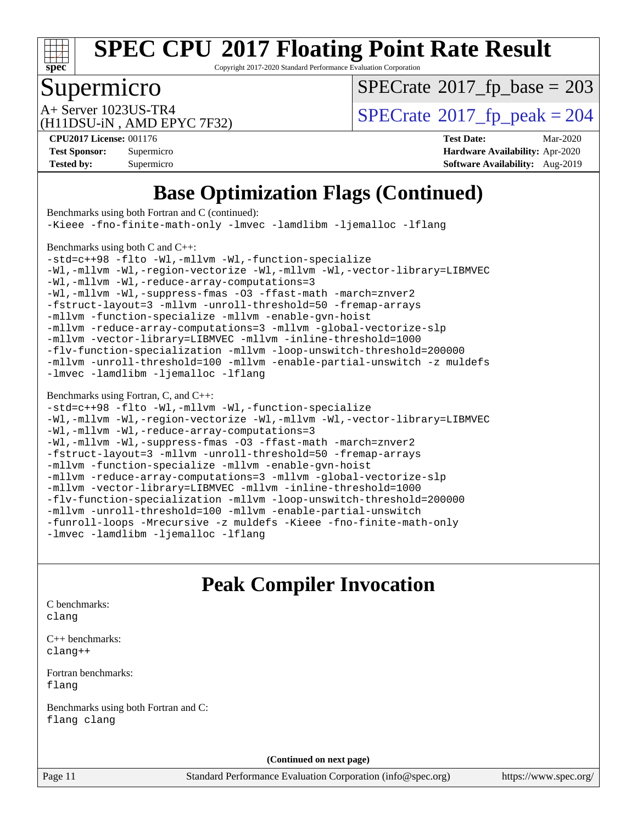

Copyright 2017-2020 Standard Performance Evaluation Corporation

## Supermicro

 $SPECTate$ <sup>®</sup>[2017\\_fp\\_base =](http://www.spec.org/auto/cpu2017/Docs/result-fields.html#SPECrate2017fpbase) 203

(H11DSU-iN , AMD EPYC 7F32)

 $A+$  Server 1023US-TR4<br>  $\langle H11DSU-N$  AMD EPYC 7E32)

**[CPU2017 License:](http://www.spec.org/auto/cpu2017/Docs/result-fields.html#CPU2017License)** 001176 **[Test Date:](http://www.spec.org/auto/cpu2017/Docs/result-fields.html#TestDate)** Mar-2020 **[Test Sponsor:](http://www.spec.org/auto/cpu2017/Docs/result-fields.html#TestSponsor)** Supermicro **[Hardware Availability:](http://www.spec.org/auto/cpu2017/Docs/result-fields.html#HardwareAvailability)** Apr-2020 **[Tested by:](http://www.spec.org/auto/cpu2017/Docs/result-fields.html#Testedby)** Supermicro **[Software Availability:](http://www.spec.org/auto/cpu2017/Docs/result-fields.html#SoftwareAvailability)** Aug-2019

## **[Base Optimization Flags \(Continued\)](http://www.spec.org/auto/cpu2017/Docs/result-fields.html#BaseOptimizationFlags)**

[Benchmarks using both Fortran and C](http://www.spec.org/auto/cpu2017/Docs/result-fields.html#BenchmarksusingbothFortranandC) (continued): [-Kieee](http://www.spec.org/cpu2017/results/res2020q2/cpu2017-20200331-21848.flags.html#user_CC_FCbase_F-kieee) [-fno-finite-math-only](http://www.spec.org/cpu2017/results/res2020q2/cpu2017-20200331-21848.flags.html#user_CC_FCbase_aocc-fno-finite-math-only) [-lmvec](http://www.spec.org/cpu2017/results/res2020q2/cpu2017-20200331-21848.flags.html#user_CC_FCbase_F-lmvec) [-lamdlibm](http://www.spec.org/cpu2017/results/res2020q2/cpu2017-20200331-21848.flags.html#user_CC_FCbase_F-lamdlibm) [-ljemalloc](http://www.spec.org/cpu2017/results/res2020q2/cpu2017-20200331-21848.flags.html#user_CC_FCbase_jemalloc-lib) [-lflang](http://www.spec.org/cpu2017/results/res2020q2/cpu2017-20200331-21848.flags.html#user_CC_FCbase_F-lflang) [Benchmarks using both C and C++](http://www.spec.org/auto/cpu2017/Docs/result-fields.html#BenchmarksusingbothCandCXX): [-std=c++98](http://www.spec.org/cpu2017/results/res2020q2/cpu2017-20200331-21848.flags.html#user_CC_CXXbase_std-cpp) [-flto](http://www.spec.org/cpu2017/results/res2020q2/cpu2017-20200331-21848.flags.html#user_CC_CXXbase_aocc-flto) [-Wl,-mllvm -Wl,-function-specialize](http://www.spec.org/cpu2017/results/res2020q2/cpu2017-20200331-21848.flags.html#user_CC_CXXbase_F-function-specialize_7e7e661e57922243ee67c9a1251cb8910e607325179a0ce7f2884e09a6f5d4a5ef0ae4f37e8a2a11c95fc48e931f06dc2b6016f14b511fcb441e048bef1b065a) [-Wl,-mllvm -Wl,-region-vectorize](http://www.spec.org/cpu2017/results/res2020q2/cpu2017-20200331-21848.flags.html#user_CC_CXXbase_F-region-vectorize_fb6c6b5aa293c88efc6c7c2b52b20755e943585b1fe8658c35afef78727fff56e1a56891413c30e36b8e2a6f9a71126986319243e80eb6110b78b288f533c52b) [-Wl,-mllvm -Wl,-vector-library=LIBMVEC](http://www.spec.org/cpu2017/results/res2020q2/cpu2017-20200331-21848.flags.html#user_CC_CXXbase_F-use-vector-library_0a14b27fae317f283640384a31f7bfcc2bd4c1d0b5cfc618a3a430800c9b20217b00f61303eff223a3251b4f06ffbc9739dc5296db9d1fbb9ad24a3939d86d66) [-Wl,-mllvm -Wl,-reduce-array-computations=3](http://www.spec.org/cpu2017/results/res2020q2/cpu2017-20200331-21848.flags.html#user_CC_CXXbase_F-reduce-array-computations_b882aefe7a5dda4e33149f6299762b9a720dace3e498e13756f4c04e5a19edf5315c1f3993de2e61ec41e8c206231f84e05da7040e1bb5d69ba27d10a12507e4) [-Wl,-mllvm -Wl,-suppress-fmas](http://www.spec.org/cpu2017/results/res2020q2/cpu2017-20200331-21848.flags.html#user_CC_CXXbase_F-suppress-fmas_f00f00630e4a059e8af9c161e9bbf420bcf19890a7f99d5933525e66aa4b0bb3ab2339d2b12d97d3a5f5d271e839fe9c109938e91fe06230fb53651590cfa1e8) [-O3](http://www.spec.org/cpu2017/results/res2020q2/cpu2017-20200331-21848.flags.html#user_CC_CXXbase_F-O3) [-ffast-math](http://www.spec.org/cpu2017/results/res2020q2/cpu2017-20200331-21848.flags.html#user_CC_CXXbase_aocc-ffast-math) [-march=znver2](http://www.spec.org/cpu2017/results/res2020q2/cpu2017-20200331-21848.flags.html#user_CC_CXXbase_aocc-march_3e2e19cff2eeef60c5d90b059483627c9ea47eca6d66670dbd53f9185f6439e27eb5e104cf773e9e8ab18c8842ce63e461a3e948d0214bd567ef3ade411bf467) [-fstruct-layout=3](http://www.spec.org/cpu2017/results/res2020q2/cpu2017-20200331-21848.flags.html#user_CC_CXXbase_F-struct-layout) [-mllvm -unroll-threshold=50](http://www.spec.org/cpu2017/results/res2020q2/cpu2017-20200331-21848.flags.html#user_CC_CXXbase_F-unroll-threshold_458874500b2c105d6d5cb4d7a611c40e2b16e9e3d26b355fea72d644c3673b4de4b3932662f0ed3dbec75c491a13da2d2ca81180bd779dc531083ef1e1e549dc) [-fremap-arrays](http://www.spec.org/cpu2017/results/res2020q2/cpu2017-20200331-21848.flags.html#user_CC_CXXbase_F-fremap-arrays) [-mllvm -function-specialize](http://www.spec.org/cpu2017/results/res2020q2/cpu2017-20200331-21848.flags.html#user_CC_CXXbase_F-function-specialize_233b3bdba86027f1b094368157e481c5bc59f40286dc25bfadc1858dcd5745c24fd30d5f188710db7fea399bcc9f44a80b3ce3aacc70a8870250c3ae5e1f35b8) [-mllvm -enable-gvn-hoist](http://www.spec.org/cpu2017/results/res2020q2/cpu2017-20200331-21848.flags.html#user_CC_CXXbase_F-enable-gvn-hoist_e5856354646dd6ca1333a0ad99b817e4cf8932b91b82809fd8fd47ceff7b22a89eba5c98fd3e3fa5200368fd772cec3dd56abc3c8f7b655a71b9f9848dddedd5) [-mllvm -reduce-array-computations=3](http://www.spec.org/cpu2017/results/res2020q2/cpu2017-20200331-21848.flags.html#user_CC_CXXbase_F-reduce-array-computations_aceadb8604558b566e0e3a0d7a3c1533923dd1fa0889614e16288028922629a28d5695c24d3b3be4306b1e311c54317dfffe3a2e57fbcaabc737a1798de39145) [-mllvm -global-vectorize-slp](http://www.spec.org/cpu2017/results/res2020q2/cpu2017-20200331-21848.flags.html#user_CC_CXXbase_F-global-vectorize-slp_a3935e8627af4ced727033b1ffd4db27f4d541a363d28d82bf4c2925fb3a0fd4115d6e42d13a2829f9e024d6608eb67a85cb49770f2da5c5ac8dbc737afad603) [-mllvm -vector-library=LIBMVEC](http://www.spec.org/cpu2017/results/res2020q2/cpu2017-20200331-21848.flags.html#user_CC_CXXbase_F-use-vector-library_e584e20b4f7ec96aa109254b65d8e01d864f3d68580371b9d93ed7c338191d4cfce20c3c864632264effc6bbe4c7c38153d02096a342ee92501c4a53204a7871) [-mllvm -inline-threshold=1000](http://www.spec.org/cpu2017/results/res2020q2/cpu2017-20200331-21848.flags.html#user_CC_CXXbase_dragonegg-llvm-inline-threshold_b7832241b0a6397e4ecdbaf0eb7defdc10f885c2a282fa3240fdc99844d543fda39cf8a4a9dccf68cf19b5438ac3b455264f478df15da0f4988afa40d8243bab) [-flv-function-specialization](http://www.spec.org/cpu2017/results/res2020q2/cpu2017-20200331-21848.flags.html#user_CC_CXXbase_F-flv-function-specialization) [-mllvm -loop-unswitch-threshold=200000](http://www.spec.org/cpu2017/results/res2020q2/cpu2017-20200331-21848.flags.html#user_CC_CXXbase_F-loop-unswitch-threshold_f9a82ae3270e55b5fbf79d0d96ee93606b73edbbe527d20b18b7bff1a3a146ad50cfc7454c5297978340ae9213029016a7d16221274d672d3f7f42ed25274e1d) [-mllvm -unroll-threshold=100](http://www.spec.org/cpu2017/results/res2020q2/cpu2017-20200331-21848.flags.html#user_CC_CXXbase_F-unroll-threshold_2755d0c78138845d361fa1543e3a063fffa198df9b3edf0cfb856bbc88a81e1769b12ac7a550c5d35197be55360db1a3f95a8d1304df999456cabf5120c45168) [-mllvm -enable-partial-unswitch](http://www.spec.org/cpu2017/results/res2020q2/cpu2017-20200331-21848.flags.html#user_CC_CXXbase_F-enable-partial-unswitch_6e1c33f981d77963b1eaf834973128a7f33ce3f8e27f54689656697a35e89dcc875281e0e6283d043e32f367dcb605ba0e307a92e830f7e326789fa6c61b35d3) [-z muldefs](http://www.spec.org/cpu2017/results/res2020q2/cpu2017-20200331-21848.flags.html#user_CC_CXXbase_aocc-muldefs) [-lmvec](http://www.spec.org/cpu2017/results/res2020q2/cpu2017-20200331-21848.flags.html#user_CC_CXXbase_F-lmvec) [-lamdlibm](http://www.spec.org/cpu2017/results/res2020q2/cpu2017-20200331-21848.flags.html#user_CC_CXXbase_F-lamdlibm) [-ljemalloc](http://www.spec.org/cpu2017/results/res2020q2/cpu2017-20200331-21848.flags.html#user_CC_CXXbase_jemalloc-lib) [-lflang](http://www.spec.org/cpu2017/results/res2020q2/cpu2017-20200331-21848.flags.html#user_CC_CXXbase_F-lflang) [Benchmarks using Fortran, C, and C++:](http://www.spec.org/auto/cpu2017/Docs/result-fields.html#BenchmarksusingFortranCandCXX) [-std=c++98](http://www.spec.org/cpu2017/results/res2020q2/cpu2017-20200331-21848.flags.html#user_CC_CXX_FCbase_std-cpp) [-flto](http://www.spec.org/cpu2017/results/res2020q2/cpu2017-20200331-21848.flags.html#user_CC_CXX_FCbase_aocc-flto) [-Wl,-mllvm -Wl,-function-specialize](http://www.spec.org/cpu2017/results/res2020q2/cpu2017-20200331-21848.flags.html#user_CC_CXX_FCbase_F-function-specialize_7e7e661e57922243ee67c9a1251cb8910e607325179a0ce7f2884e09a6f5d4a5ef0ae4f37e8a2a11c95fc48e931f06dc2b6016f14b511fcb441e048bef1b065a) [-Wl,-mllvm -Wl,-region-vectorize](http://www.spec.org/cpu2017/results/res2020q2/cpu2017-20200331-21848.flags.html#user_CC_CXX_FCbase_F-region-vectorize_fb6c6b5aa293c88efc6c7c2b52b20755e943585b1fe8658c35afef78727fff56e1a56891413c30e36b8e2a6f9a71126986319243e80eb6110b78b288f533c52b) [-Wl,-mllvm -Wl,-vector-library=LIBMVEC](http://www.spec.org/cpu2017/results/res2020q2/cpu2017-20200331-21848.flags.html#user_CC_CXX_FCbase_F-use-vector-library_0a14b27fae317f283640384a31f7bfcc2bd4c1d0b5cfc618a3a430800c9b20217b00f61303eff223a3251b4f06ffbc9739dc5296db9d1fbb9ad24a3939d86d66) [-Wl,-mllvm -Wl,-reduce-array-computations=3](http://www.spec.org/cpu2017/results/res2020q2/cpu2017-20200331-21848.flags.html#user_CC_CXX_FCbase_F-reduce-array-computations_b882aefe7a5dda4e33149f6299762b9a720dace3e498e13756f4c04e5a19edf5315c1f3993de2e61ec41e8c206231f84e05da7040e1bb5d69ba27d10a12507e4) [-Wl,-mllvm -Wl,-suppress-fmas](http://www.spec.org/cpu2017/results/res2020q2/cpu2017-20200331-21848.flags.html#user_CC_CXX_FCbase_F-suppress-fmas_f00f00630e4a059e8af9c161e9bbf420bcf19890a7f99d5933525e66aa4b0bb3ab2339d2b12d97d3a5f5d271e839fe9c109938e91fe06230fb53651590cfa1e8) [-O3](http://www.spec.org/cpu2017/results/res2020q2/cpu2017-20200331-21848.flags.html#user_CC_CXX_FCbase_F-O3) [-ffast-math](http://www.spec.org/cpu2017/results/res2020q2/cpu2017-20200331-21848.flags.html#user_CC_CXX_FCbase_aocc-ffast-math) [-march=znver2](http://www.spec.org/cpu2017/results/res2020q2/cpu2017-20200331-21848.flags.html#user_CC_CXX_FCbase_aocc-march_3e2e19cff2eeef60c5d90b059483627c9ea47eca6d66670dbd53f9185f6439e27eb5e104cf773e9e8ab18c8842ce63e461a3e948d0214bd567ef3ade411bf467) [-fstruct-layout=3](http://www.spec.org/cpu2017/results/res2020q2/cpu2017-20200331-21848.flags.html#user_CC_CXX_FCbase_F-struct-layout) [-mllvm -unroll-threshold=50](http://www.spec.org/cpu2017/results/res2020q2/cpu2017-20200331-21848.flags.html#user_CC_CXX_FCbase_F-unroll-threshold_458874500b2c105d6d5cb4d7a611c40e2b16e9e3d26b355fea72d644c3673b4de4b3932662f0ed3dbec75c491a13da2d2ca81180bd779dc531083ef1e1e549dc) [-fremap-arrays](http://www.spec.org/cpu2017/results/res2020q2/cpu2017-20200331-21848.flags.html#user_CC_CXX_FCbase_F-fremap-arrays) [-mllvm -function-specialize](http://www.spec.org/cpu2017/results/res2020q2/cpu2017-20200331-21848.flags.html#user_CC_CXX_FCbase_F-function-specialize_233b3bdba86027f1b094368157e481c5bc59f40286dc25bfadc1858dcd5745c24fd30d5f188710db7fea399bcc9f44a80b3ce3aacc70a8870250c3ae5e1f35b8) [-mllvm -enable-gvn-hoist](http://www.spec.org/cpu2017/results/res2020q2/cpu2017-20200331-21848.flags.html#user_CC_CXX_FCbase_F-enable-gvn-hoist_e5856354646dd6ca1333a0ad99b817e4cf8932b91b82809fd8fd47ceff7b22a89eba5c98fd3e3fa5200368fd772cec3dd56abc3c8f7b655a71b9f9848dddedd5) [-mllvm -reduce-array-computations=3](http://www.spec.org/cpu2017/results/res2020q2/cpu2017-20200331-21848.flags.html#user_CC_CXX_FCbase_F-reduce-array-computations_aceadb8604558b566e0e3a0d7a3c1533923dd1fa0889614e16288028922629a28d5695c24d3b3be4306b1e311c54317dfffe3a2e57fbcaabc737a1798de39145) [-mllvm -global-vectorize-slp](http://www.spec.org/cpu2017/results/res2020q2/cpu2017-20200331-21848.flags.html#user_CC_CXX_FCbase_F-global-vectorize-slp_a3935e8627af4ced727033b1ffd4db27f4d541a363d28d82bf4c2925fb3a0fd4115d6e42d13a2829f9e024d6608eb67a85cb49770f2da5c5ac8dbc737afad603) [-mllvm -vector-library=LIBMVEC](http://www.spec.org/cpu2017/results/res2020q2/cpu2017-20200331-21848.flags.html#user_CC_CXX_FCbase_F-use-vector-library_e584e20b4f7ec96aa109254b65d8e01d864f3d68580371b9d93ed7c338191d4cfce20c3c864632264effc6bbe4c7c38153d02096a342ee92501c4a53204a7871) [-mllvm -inline-threshold=1000](http://www.spec.org/cpu2017/results/res2020q2/cpu2017-20200331-21848.flags.html#user_CC_CXX_FCbase_dragonegg-llvm-inline-threshold_b7832241b0a6397e4ecdbaf0eb7defdc10f885c2a282fa3240fdc99844d543fda39cf8a4a9dccf68cf19b5438ac3b455264f478df15da0f4988afa40d8243bab) [-flv-function-specialization](http://www.spec.org/cpu2017/results/res2020q2/cpu2017-20200331-21848.flags.html#user_CC_CXX_FCbase_F-flv-function-specialization) [-mllvm -loop-unswitch-threshold=200000](http://www.spec.org/cpu2017/results/res2020q2/cpu2017-20200331-21848.flags.html#user_CC_CXX_FCbase_F-loop-unswitch-threshold_f9a82ae3270e55b5fbf79d0d96ee93606b73edbbe527d20b18b7bff1a3a146ad50cfc7454c5297978340ae9213029016a7d16221274d672d3f7f42ed25274e1d) [-mllvm -unroll-threshold=100](http://www.spec.org/cpu2017/results/res2020q2/cpu2017-20200331-21848.flags.html#user_CC_CXX_FCbase_F-unroll-threshold_2755d0c78138845d361fa1543e3a063fffa198df9b3edf0cfb856bbc88a81e1769b12ac7a550c5d35197be55360db1a3f95a8d1304df999456cabf5120c45168) [-mllvm -enable-partial-unswitch](http://www.spec.org/cpu2017/results/res2020q2/cpu2017-20200331-21848.flags.html#user_CC_CXX_FCbase_F-enable-partial-unswitch_6e1c33f981d77963b1eaf834973128a7f33ce3f8e27f54689656697a35e89dcc875281e0e6283d043e32f367dcb605ba0e307a92e830f7e326789fa6c61b35d3) [-funroll-loops](http://www.spec.org/cpu2017/results/res2020q2/cpu2017-20200331-21848.flags.html#user_CC_CXX_FCbase_aocc-unroll-loops) [-Mrecursive](http://www.spec.org/cpu2017/results/res2020q2/cpu2017-20200331-21848.flags.html#user_CC_CXX_FCbase_F-mrecursive_20a145d63f12d5750a899e17d4450b5b8b40330a9bb4af13688ca650e6fb30857bbbe44fb35cdbb895df6e5b2769de0a0d7659f51ff17acfbef6febafec4023f) [-z muldefs](http://www.spec.org/cpu2017/results/res2020q2/cpu2017-20200331-21848.flags.html#user_CC_CXX_FCbase_aocc-muldefs) [-Kieee](http://www.spec.org/cpu2017/results/res2020q2/cpu2017-20200331-21848.flags.html#user_CC_CXX_FCbase_F-kieee) [-fno-finite-math-only](http://www.spec.org/cpu2017/results/res2020q2/cpu2017-20200331-21848.flags.html#user_CC_CXX_FCbase_aocc-fno-finite-math-only) [-lmvec](http://www.spec.org/cpu2017/results/res2020q2/cpu2017-20200331-21848.flags.html#user_CC_CXX_FCbase_F-lmvec) [-lamdlibm](http://www.spec.org/cpu2017/results/res2020q2/cpu2017-20200331-21848.flags.html#user_CC_CXX_FCbase_F-lamdlibm) [-ljemalloc](http://www.spec.org/cpu2017/results/res2020q2/cpu2017-20200331-21848.flags.html#user_CC_CXX_FCbase_jemalloc-lib) [-lflang](http://www.spec.org/cpu2017/results/res2020q2/cpu2017-20200331-21848.flags.html#user_CC_CXX_FCbase_F-lflang) **[Peak Compiler Invocation](http://www.spec.org/auto/cpu2017/Docs/result-fields.html#PeakCompilerInvocation)** [C benchmarks](http://www.spec.org/auto/cpu2017/Docs/result-fields.html#Cbenchmarks): [clang](http://www.spec.org/cpu2017/results/res2020q2/cpu2017-20200331-21848.flags.html#user_CCpeak_clang-c)

[C++ benchmarks:](http://www.spec.org/auto/cpu2017/Docs/result-fields.html#CXXbenchmarks) [clang++](http://www.spec.org/cpu2017/results/res2020q2/cpu2017-20200331-21848.flags.html#user_CXXpeak_clang-cpp)

[Fortran benchmarks](http://www.spec.org/auto/cpu2017/Docs/result-fields.html#Fortranbenchmarks): [flang](http://www.spec.org/cpu2017/results/res2020q2/cpu2017-20200331-21848.flags.html#user_FCpeak_flang)

[Benchmarks using both Fortran and C](http://www.spec.org/auto/cpu2017/Docs/result-fields.html#BenchmarksusingbothFortranandC): [flang](http://www.spec.org/cpu2017/results/res2020q2/cpu2017-20200331-21848.flags.html#user_CC_FCpeak_flang) [clang](http://www.spec.org/cpu2017/results/res2020q2/cpu2017-20200331-21848.flags.html#user_CC_FCpeak_clang-c)

**(Continued on next page)**

Page 11 Standard Performance Evaluation Corporation [\(info@spec.org\)](mailto:info@spec.org) <https://www.spec.org/>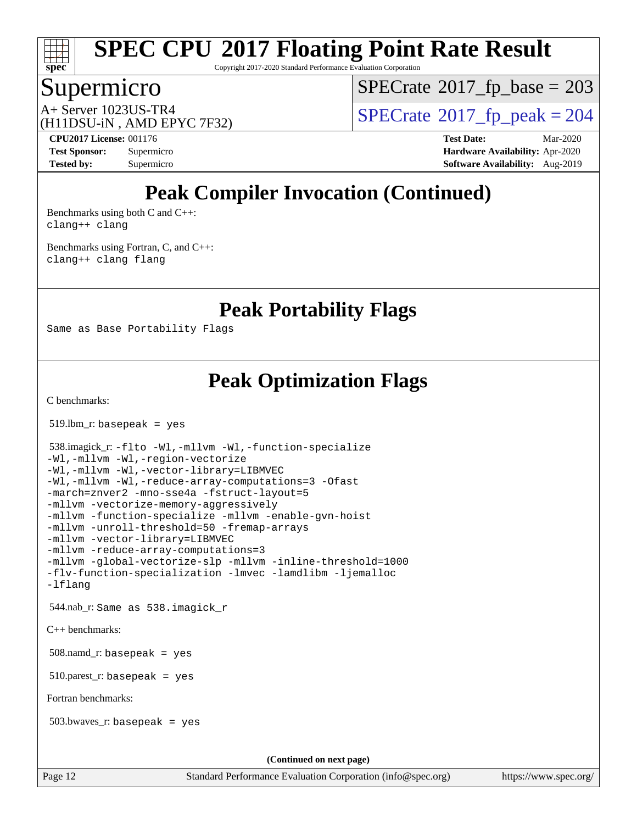

Copyright 2017-2020 Standard Performance Evaluation Corporation

## Supermicro

 $SPECTate$ <sup>®</sup>[2017\\_fp\\_base =](http://www.spec.org/auto/cpu2017/Docs/result-fields.html#SPECrate2017fpbase) 203

(H11DSU-iN , AMD EPYC 7F32)

 $A+$  Server 1023US-TR4<br>  $\langle H11DSU-N$  AMD EPYC 7E32)

**[CPU2017 License:](http://www.spec.org/auto/cpu2017/Docs/result-fields.html#CPU2017License)** 001176 **[Test Date:](http://www.spec.org/auto/cpu2017/Docs/result-fields.html#TestDate)** Mar-2020 **[Test Sponsor:](http://www.spec.org/auto/cpu2017/Docs/result-fields.html#TestSponsor)** Supermicro **[Hardware Availability:](http://www.spec.org/auto/cpu2017/Docs/result-fields.html#HardwareAvailability)** Apr-2020 **[Tested by:](http://www.spec.org/auto/cpu2017/Docs/result-fields.html#Testedby)** Supermicro **[Software Availability:](http://www.spec.org/auto/cpu2017/Docs/result-fields.html#SoftwareAvailability)** Aug-2019

## **[Peak Compiler Invocation \(Continued\)](http://www.spec.org/auto/cpu2017/Docs/result-fields.html#PeakCompilerInvocation)**

[Benchmarks using both C and C++](http://www.spec.org/auto/cpu2017/Docs/result-fields.html#BenchmarksusingbothCandCXX): [clang++](http://www.spec.org/cpu2017/results/res2020q2/cpu2017-20200331-21848.flags.html#user_CC_CXXpeak_clang-cpp) [clang](http://www.spec.org/cpu2017/results/res2020q2/cpu2017-20200331-21848.flags.html#user_CC_CXXpeak_clang-c)

[Benchmarks using Fortran, C, and C++:](http://www.spec.org/auto/cpu2017/Docs/result-fields.html#BenchmarksusingFortranCandCXX) [clang++](http://www.spec.org/cpu2017/results/res2020q2/cpu2017-20200331-21848.flags.html#user_CC_CXX_FCpeak_clang-cpp) [clang](http://www.spec.org/cpu2017/results/res2020q2/cpu2017-20200331-21848.flags.html#user_CC_CXX_FCpeak_clang-c) [flang](http://www.spec.org/cpu2017/results/res2020q2/cpu2017-20200331-21848.flags.html#user_CC_CXX_FCpeak_flang)

**[Peak Portability Flags](http://www.spec.org/auto/cpu2017/Docs/result-fields.html#PeakPortabilityFlags)**

Same as Base Portability Flags

## **[Peak Optimization Flags](http://www.spec.org/auto/cpu2017/Docs/result-fields.html#PeakOptimizationFlags)**

Page 12 Standard Performance Evaluation Corporation [\(info@spec.org\)](mailto:info@spec.org) <https://www.spec.org/> [C benchmarks](http://www.spec.org/auto/cpu2017/Docs/result-fields.html#Cbenchmarks): 519.lbm\_r: basepeak = yes 538.imagick\_r: [-flto](http://www.spec.org/cpu2017/results/res2020q2/cpu2017-20200331-21848.flags.html#user_peakCOPTIMIZELDFLAGS538_imagick_r_aocc-flto) [-Wl,-mllvm -Wl,-function-specialize](http://www.spec.org/cpu2017/results/res2020q2/cpu2017-20200331-21848.flags.html#user_peakLDFLAGS538_imagick_r_F-function-specialize_7e7e661e57922243ee67c9a1251cb8910e607325179a0ce7f2884e09a6f5d4a5ef0ae4f37e8a2a11c95fc48e931f06dc2b6016f14b511fcb441e048bef1b065a) [-Wl,-mllvm -Wl,-region-vectorize](http://www.spec.org/cpu2017/results/res2020q2/cpu2017-20200331-21848.flags.html#user_peakLDFLAGS538_imagick_r_F-region-vectorize_fb6c6b5aa293c88efc6c7c2b52b20755e943585b1fe8658c35afef78727fff56e1a56891413c30e36b8e2a6f9a71126986319243e80eb6110b78b288f533c52b) [-Wl,-mllvm -Wl,-vector-library=LIBMVEC](http://www.spec.org/cpu2017/results/res2020q2/cpu2017-20200331-21848.flags.html#user_peakLDFLAGS538_imagick_r_F-use-vector-library_0a14b27fae317f283640384a31f7bfcc2bd4c1d0b5cfc618a3a430800c9b20217b00f61303eff223a3251b4f06ffbc9739dc5296db9d1fbb9ad24a3939d86d66) [-Wl,-mllvm -Wl,-reduce-array-computations=3](http://www.spec.org/cpu2017/results/res2020q2/cpu2017-20200331-21848.flags.html#user_peakLDFLAGS538_imagick_r_F-reduce-array-computations_b882aefe7a5dda4e33149f6299762b9a720dace3e498e13756f4c04e5a19edf5315c1f3993de2e61ec41e8c206231f84e05da7040e1bb5d69ba27d10a12507e4) [-Ofast](http://www.spec.org/cpu2017/results/res2020q2/cpu2017-20200331-21848.flags.html#user_peakCOPTIMIZE538_imagick_r_aocc-Ofast) [-march=znver2](http://www.spec.org/cpu2017/results/res2020q2/cpu2017-20200331-21848.flags.html#user_peakCOPTIMIZE538_imagick_r_aocc-march_3e2e19cff2eeef60c5d90b059483627c9ea47eca6d66670dbd53f9185f6439e27eb5e104cf773e9e8ab18c8842ce63e461a3e948d0214bd567ef3ade411bf467) [-mno-sse4a](http://www.spec.org/cpu2017/results/res2020q2/cpu2017-20200331-21848.flags.html#user_peakCOPTIMIZE538_imagick_r_F-mno-sse4a) [-fstruct-layout=5](http://www.spec.org/cpu2017/results/res2020q2/cpu2017-20200331-21848.flags.html#user_peakCOPTIMIZE538_imagick_r_F-struct-layout_0de9d3561e9f54a54e0843cce081bd13a08ab3e9a82696f3346606c2e11360c37113781019b02fa128d9f650e68f1ffd209bab5c3a026c1ad23e4e7f60646b23) [-mllvm -vectorize-memory-aggressively](http://www.spec.org/cpu2017/results/res2020q2/cpu2017-20200331-21848.flags.html#user_peakCOPTIMIZE538_imagick_r_F-vectorize-memory-aggressively_24b72a4417f50ade9e698c5b3bed87ab456cc6fc8ec6439480cb84f36ad6a3975af6e87206dea402e3871a1464ff3d60bc798e0250f330177ba629a260df1857) [-mllvm -function-specialize](http://www.spec.org/cpu2017/results/res2020q2/cpu2017-20200331-21848.flags.html#user_peakCOPTIMIZE538_imagick_r_F-function-specialize_233b3bdba86027f1b094368157e481c5bc59f40286dc25bfadc1858dcd5745c24fd30d5f188710db7fea399bcc9f44a80b3ce3aacc70a8870250c3ae5e1f35b8) [-mllvm -enable-gvn-hoist](http://www.spec.org/cpu2017/results/res2020q2/cpu2017-20200331-21848.flags.html#user_peakCOPTIMIZE538_imagick_r_F-enable-gvn-hoist_e5856354646dd6ca1333a0ad99b817e4cf8932b91b82809fd8fd47ceff7b22a89eba5c98fd3e3fa5200368fd772cec3dd56abc3c8f7b655a71b9f9848dddedd5) [-mllvm -unroll-threshold=50](http://www.spec.org/cpu2017/results/res2020q2/cpu2017-20200331-21848.flags.html#user_peakCOPTIMIZE538_imagick_r_F-unroll-threshold_458874500b2c105d6d5cb4d7a611c40e2b16e9e3d26b355fea72d644c3673b4de4b3932662f0ed3dbec75c491a13da2d2ca81180bd779dc531083ef1e1e549dc) [-fremap-arrays](http://www.spec.org/cpu2017/results/res2020q2/cpu2017-20200331-21848.flags.html#user_peakCOPTIMIZE538_imagick_r_F-fremap-arrays) [-mllvm -vector-library=LIBMVEC](http://www.spec.org/cpu2017/results/res2020q2/cpu2017-20200331-21848.flags.html#user_peakCOPTIMIZE538_imagick_r_F-use-vector-library_e584e20b4f7ec96aa109254b65d8e01d864f3d68580371b9d93ed7c338191d4cfce20c3c864632264effc6bbe4c7c38153d02096a342ee92501c4a53204a7871) [-mllvm -reduce-array-computations=3](http://www.spec.org/cpu2017/results/res2020q2/cpu2017-20200331-21848.flags.html#user_peakCOPTIMIZE538_imagick_r_F-reduce-array-computations_aceadb8604558b566e0e3a0d7a3c1533923dd1fa0889614e16288028922629a28d5695c24d3b3be4306b1e311c54317dfffe3a2e57fbcaabc737a1798de39145) [-mllvm -global-vectorize-slp](http://www.spec.org/cpu2017/results/res2020q2/cpu2017-20200331-21848.flags.html#user_peakCOPTIMIZE538_imagick_r_F-global-vectorize-slp_a3935e8627af4ced727033b1ffd4db27f4d541a363d28d82bf4c2925fb3a0fd4115d6e42d13a2829f9e024d6608eb67a85cb49770f2da5c5ac8dbc737afad603) [-mllvm -inline-threshold=1000](http://www.spec.org/cpu2017/results/res2020q2/cpu2017-20200331-21848.flags.html#user_peakCOPTIMIZE538_imagick_r_dragonegg-llvm-inline-threshold_b7832241b0a6397e4ecdbaf0eb7defdc10f885c2a282fa3240fdc99844d543fda39cf8a4a9dccf68cf19b5438ac3b455264f478df15da0f4988afa40d8243bab) [-flv-function-specialization](http://www.spec.org/cpu2017/results/res2020q2/cpu2017-20200331-21848.flags.html#user_peakCOPTIMIZE538_imagick_r_F-flv-function-specialization) [-lmvec](http://www.spec.org/cpu2017/results/res2020q2/cpu2017-20200331-21848.flags.html#user_peakEXTRA_LIBSMATH_LIBS538_imagick_r_F-lmvec) [-lamdlibm](http://www.spec.org/cpu2017/results/res2020q2/cpu2017-20200331-21848.flags.html#user_peakEXTRA_LIBSMATH_LIBS538_imagick_r_F-lamdlibm) [-ljemalloc](http://www.spec.org/cpu2017/results/res2020q2/cpu2017-20200331-21848.flags.html#user_peakEXTRA_LIBS538_imagick_r_jemalloc-lib) [-lflang](http://www.spec.org/cpu2017/results/res2020q2/cpu2017-20200331-21848.flags.html#user_peakEXTRA_LIBS538_imagick_r_F-lflang) 544.nab\_r: Same as 538.imagick\_r [C++ benchmarks:](http://www.spec.org/auto/cpu2017/Docs/result-fields.html#CXXbenchmarks) 508.namd\_r: basepeak = yes  $510.parest_r:$  basepeak = yes [Fortran benchmarks](http://www.spec.org/auto/cpu2017/Docs/result-fields.html#Fortranbenchmarks): 503.bwaves\_r: basepeak = yes **(Continued on next page)**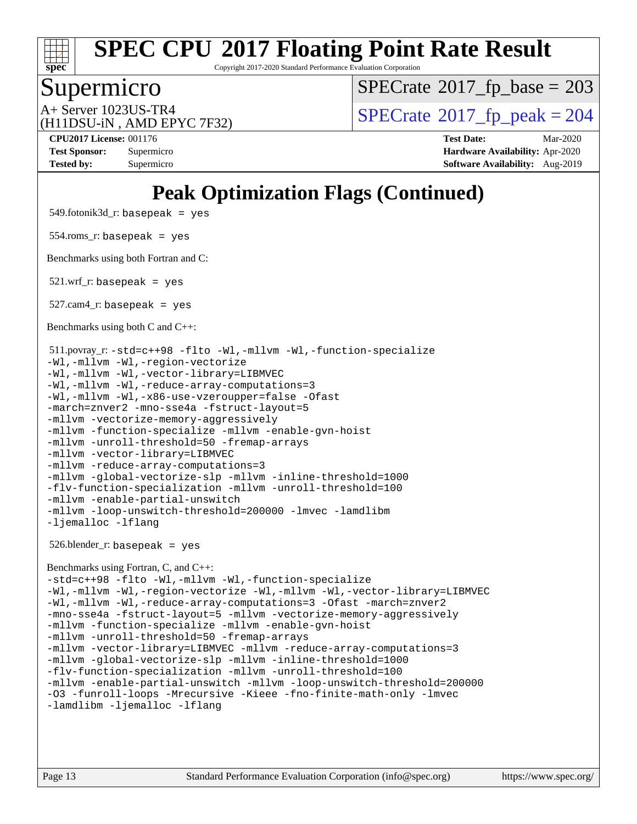

Copyright 2017-2020 Standard Performance Evaluation Corporation

## Supermicro

 $SPECTate$ <sup>®</sup>[2017\\_fp\\_base =](http://www.spec.org/auto/cpu2017/Docs/result-fields.html#SPECrate2017fpbase) 203

(H11DSU-iN , AMD EPYC 7F32)

 $A+$  Server 1023US-TR4<br>  $\langle H11DSU-N$  AMD EPYC 7E32)

**[CPU2017 License:](http://www.spec.org/auto/cpu2017/Docs/result-fields.html#CPU2017License)** 001176 **[Test Date:](http://www.spec.org/auto/cpu2017/Docs/result-fields.html#TestDate)** Mar-2020 **[Test Sponsor:](http://www.spec.org/auto/cpu2017/Docs/result-fields.html#TestSponsor)** Supermicro **[Hardware Availability:](http://www.spec.org/auto/cpu2017/Docs/result-fields.html#HardwareAvailability)** Apr-2020 **[Tested by:](http://www.spec.org/auto/cpu2017/Docs/result-fields.html#Testedby)** Supermicro **[Software Availability:](http://www.spec.org/auto/cpu2017/Docs/result-fields.html#SoftwareAvailability)** Aug-2019

## **[Peak Optimization Flags \(Continued\)](http://www.spec.org/auto/cpu2017/Docs/result-fields.html#PeakOptimizationFlags)**

549.fotonik3d\_r: basepeak = yes

554.roms\_r: basepeak = yes

[Benchmarks using both Fortran and C](http://www.spec.org/auto/cpu2017/Docs/result-fields.html#BenchmarksusingbothFortranandC):

 $521.wrf$ . basepeak = yes

 $527.cam4_r:$  basepeak = yes

[Benchmarks using both C and C++](http://www.spec.org/auto/cpu2017/Docs/result-fields.html#BenchmarksusingbothCandCXX):

```
 511.povray_r: -std=c++98 -flto -Wl,-mllvm -Wl,-function-specialize
-Wl,-mllvm -Wl,-region-vectorize
-Wl,-mllvm -Wl,-vector-library=LIBMVEC
-Wl,-mllvm -Wl,-reduce-array-computations=3
-Wl,-mllvm -Wl,-x86-use-vzeroupper=false -Ofast
-march=znver2 -mno-sse4a -fstruct-layout=5
-mllvm -vectorize-memory-aggressively
-mllvm -function-specialize -mllvm -enable-gvn-hoist
-mllvm -unroll-threshold=50 -fremap-arrays
-mllvm -vector-library=LIBMVEC
-mllvm -reduce-array-computations=3
-mllvm -global-vectorize-slp -mllvm -inline-threshold=1000
-flv-function-specialization -mllvm -unroll-threshold=100
-mllvm -enable-partial-unswitch
-mllvm -loop-unswitch-threshold=200000 -lmvec -lamdlibm
-ljemalloc -lflang
```
526.blender\_r: basepeak = yes

#### [Benchmarks using Fortran, C, and C++:](http://www.spec.org/auto/cpu2017/Docs/result-fields.html#BenchmarksusingFortranCandCXX)

[-std=c++98](http://www.spec.org/cpu2017/results/res2020q2/cpu2017-20200331-21848.flags.html#user_CC_CXX_FCpeak_std-cpp) [-flto](http://www.spec.org/cpu2017/results/res2020q2/cpu2017-20200331-21848.flags.html#user_CC_CXX_FCpeak_aocc-flto) [-Wl,-mllvm -Wl,-function-specialize](http://www.spec.org/cpu2017/results/res2020q2/cpu2017-20200331-21848.flags.html#user_CC_CXX_FCpeak_F-function-specialize_7e7e661e57922243ee67c9a1251cb8910e607325179a0ce7f2884e09a6f5d4a5ef0ae4f37e8a2a11c95fc48e931f06dc2b6016f14b511fcb441e048bef1b065a) [-Wl,-mllvm -Wl,-region-vectorize](http://www.spec.org/cpu2017/results/res2020q2/cpu2017-20200331-21848.flags.html#user_CC_CXX_FCpeak_F-region-vectorize_fb6c6b5aa293c88efc6c7c2b52b20755e943585b1fe8658c35afef78727fff56e1a56891413c30e36b8e2a6f9a71126986319243e80eb6110b78b288f533c52b) [-Wl,-mllvm -Wl,-vector-library=LIBMVEC](http://www.spec.org/cpu2017/results/res2020q2/cpu2017-20200331-21848.flags.html#user_CC_CXX_FCpeak_F-use-vector-library_0a14b27fae317f283640384a31f7bfcc2bd4c1d0b5cfc618a3a430800c9b20217b00f61303eff223a3251b4f06ffbc9739dc5296db9d1fbb9ad24a3939d86d66) [-Wl,-mllvm -Wl,-reduce-array-computations=3](http://www.spec.org/cpu2017/results/res2020q2/cpu2017-20200331-21848.flags.html#user_CC_CXX_FCpeak_F-reduce-array-computations_b882aefe7a5dda4e33149f6299762b9a720dace3e498e13756f4c04e5a19edf5315c1f3993de2e61ec41e8c206231f84e05da7040e1bb5d69ba27d10a12507e4) [-Ofast](http://www.spec.org/cpu2017/results/res2020q2/cpu2017-20200331-21848.flags.html#user_CC_CXX_FCpeak_aocc-Ofast) [-march=znver2](http://www.spec.org/cpu2017/results/res2020q2/cpu2017-20200331-21848.flags.html#user_CC_CXX_FCpeak_aocc-march_3e2e19cff2eeef60c5d90b059483627c9ea47eca6d66670dbd53f9185f6439e27eb5e104cf773e9e8ab18c8842ce63e461a3e948d0214bd567ef3ade411bf467) [-mno-sse4a](http://www.spec.org/cpu2017/results/res2020q2/cpu2017-20200331-21848.flags.html#user_CC_CXX_FCpeak_F-mno-sse4a) [-fstruct-layout=5](http://www.spec.org/cpu2017/results/res2020q2/cpu2017-20200331-21848.flags.html#user_CC_CXX_FCpeak_F-struct-layout_0de9d3561e9f54a54e0843cce081bd13a08ab3e9a82696f3346606c2e11360c37113781019b02fa128d9f650e68f1ffd209bab5c3a026c1ad23e4e7f60646b23) [-mllvm -vectorize-memory-aggressively](http://www.spec.org/cpu2017/results/res2020q2/cpu2017-20200331-21848.flags.html#user_CC_CXX_FCpeak_F-vectorize-memory-aggressively_24b72a4417f50ade9e698c5b3bed87ab456cc6fc8ec6439480cb84f36ad6a3975af6e87206dea402e3871a1464ff3d60bc798e0250f330177ba629a260df1857) [-mllvm -function-specialize](http://www.spec.org/cpu2017/results/res2020q2/cpu2017-20200331-21848.flags.html#user_CC_CXX_FCpeak_F-function-specialize_233b3bdba86027f1b094368157e481c5bc59f40286dc25bfadc1858dcd5745c24fd30d5f188710db7fea399bcc9f44a80b3ce3aacc70a8870250c3ae5e1f35b8) [-mllvm -enable-gvn-hoist](http://www.spec.org/cpu2017/results/res2020q2/cpu2017-20200331-21848.flags.html#user_CC_CXX_FCpeak_F-enable-gvn-hoist_e5856354646dd6ca1333a0ad99b817e4cf8932b91b82809fd8fd47ceff7b22a89eba5c98fd3e3fa5200368fd772cec3dd56abc3c8f7b655a71b9f9848dddedd5) [-mllvm -unroll-threshold=50](http://www.spec.org/cpu2017/results/res2020q2/cpu2017-20200331-21848.flags.html#user_CC_CXX_FCpeak_F-unroll-threshold_458874500b2c105d6d5cb4d7a611c40e2b16e9e3d26b355fea72d644c3673b4de4b3932662f0ed3dbec75c491a13da2d2ca81180bd779dc531083ef1e1e549dc) [-fremap-arrays](http://www.spec.org/cpu2017/results/res2020q2/cpu2017-20200331-21848.flags.html#user_CC_CXX_FCpeak_F-fremap-arrays) [-mllvm -vector-library=LIBMVEC](http://www.spec.org/cpu2017/results/res2020q2/cpu2017-20200331-21848.flags.html#user_CC_CXX_FCpeak_F-use-vector-library_e584e20b4f7ec96aa109254b65d8e01d864f3d68580371b9d93ed7c338191d4cfce20c3c864632264effc6bbe4c7c38153d02096a342ee92501c4a53204a7871) [-mllvm -reduce-array-computations=3](http://www.spec.org/cpu2017/results/res2020q2/cpu2017-20200331-21848.flags.html#user_CC_CXX_FCpeak_F-reduce-array-computations_aceadb8604558b566e0e3a0d7a3c1533923dd1fa0889614e16288028922629a28d5695c24d3b3be4306b1e311c54317dfffe3a2e57fbcaabc737a1798de39145) [-mllvm -global-vectorize-slp](http://www.spec.org/cpu2017/results/res2020q2/cpu2017-20200331-21848.flags.html#user_CC_CXX_FCpeak_F-global-vectorize-slp_a3935e8627af4ced727033b1ffd4db27f4d541a363d28d82bf4c2925fb3a0fd4115d6e42d13a2829f9e024d6608eb67a85cb49770f2da5c5ac8dbc737afad603) [-mllvm -inline-threshold=1000](http://www.spec.org/cpu2017/results/res2020q2/cpu2017-20200331-21848.flags.html#user_CC_CXX_FCpeak_dragonegg-llvm-inline-threshold_b7832241b0a6397e4ecdbaf0eb7defdc10f885c2a282fa3240fdc99844d543fda39cf8a4a9dccf68cf19b5438ac3b455264f478df15da0f4988afa40d8243bab) [-flv-function-specialization](http://www.spec.org/cpu2017/results/res2020q2/cpu2017-20200331-21848.flags.html#user_CC_CXX_FCpeak_F-flv-function-specialization) [-mllvm -unroll-threshold=100](http://www.spec.org/cpu2017/results/res2020q2/cpu2017-20200331-21848.flags.html#user_CC_CXX_FCpeak_F-unroll-threshold_2755d0c78138845d361fa1543e3a063fffa198df9b3edf0cfb856bbc88a81e1769b12ac7a550c5d35197be55360db1a3f95a8d1304df999456cabf5120c45168) [-mllvm -enable-partial-unswitch](http://www.spec.org/cpu2017/results/res2020q2/cpu2017-20200331-21848.flags.html#user_CC_CXX_FCpeak_F-enable-partial-unswitch_6e1c33f981d77963b1eaf834973128a7f33ce3f8e27f54689656697a35e89dcc875281e0e6283d043e32f367dcb605ba0e307a92e830f7e326789fa6c61b35d3) [-mllvm -loop-unswitch-threshold=200000](http://www.spec.org/cpu2017/results/res2020q2/cpu2017-20200331-21848.flags.html#user_CC_CXX_FCpeak_F-loop-unswitch-threshold_f9a82ae3270e55b5fbf79d0d96ee93606b73edbbe527d20b18b7bff1a3a146ad50cfc7454c5297978340ae9213029016a7d16221274d672d3f7f42ed25274e1d) [-O3](http://www.spec.org/cpu2017/results/res2020q2/cpu2017-20200331-21848.flags.html#user_CC_CXX_FCpeak_F-O3) [-funroll-loops](http://www.spec.org/cpu2017/results/res2020q2/cpu2017-20200331-21848.flags.html#user_CC_CXX_FCpeak_aocc-unroll-loops) [-Mrecursive](http://www.spec.org/cpu2017/results/res2020q2/cpu2017-20200331-21848.flags.html#user_CC_CXX_FCpeak_F-mrecursive_20a145d63f12d5750a899e17d4450b5b8b40330a9bb4af13688ca650e6fb30857bbbe44fb35cdbb895df6e5b2769de0a0d7659f51ff17acfbef6febafec4023f) [-Kieee](http://www.spec.org/cpu2017/results/res2020q2/cpu2017-20200331-21848.flags.html#user_CC_CXX_FCpeak_F-kieee) [-fno-finite-math-only](http://www.spec.org/cpu2017/results/res2020q2/cpu2017-20200331-21848.flags.html#user_CC_CXX_FCpeak_aocc-fno-finite-math-only) [-lmvec](http://www.spec.org/cpu2017/results/res2020q2/cpu2017-20200331-21848.flags.html#user_CC_CXX_FCpeak_F-lmvec) [-lamdlibm](http://www.spec.org/cpu2017/results/res2020q2/cpu2017-20200331-21848.flags.html#user_CC_CXX_FCpeak_F-lamdlibm) [-ljemalloc](http://www.spec.org/cpu2017/results/res2020q2/cpu2017-20200331-21848.flags.html#user_CC_CXX_FCpeak_jemalloc-lib) [-lflang](http://www.spec.org/cpu2017/results/res2020q2/cpu2017-20200331-21848.flags.html#user_CC_CXX_FCpeak_F-lflang)